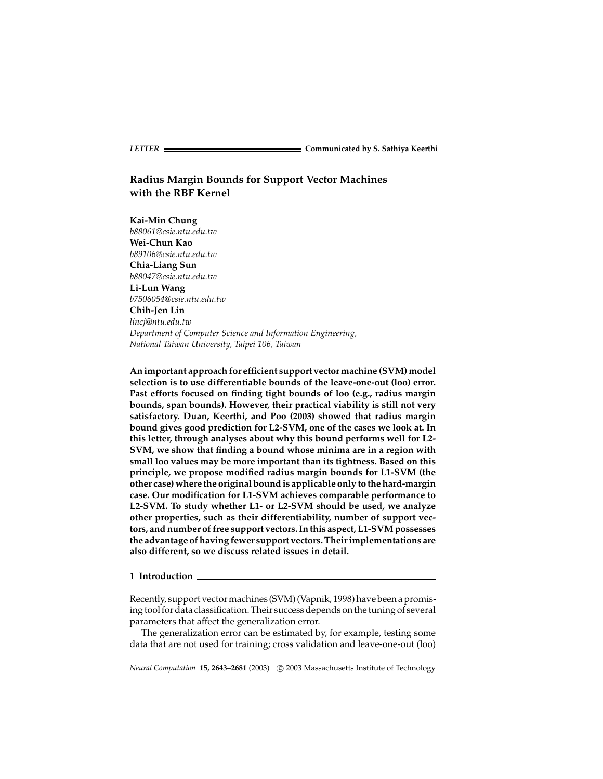# **Radius Margin Bounds for Support Vector Machines with the RBF Kernel**

**Kai-Min Chung** *b88061@csie.ntu.edu.tw* **Wei-Chun Kao** *b89106@csie.ntu.edu.tw* **Chia-Liang Sun** *b88047@csie.ntu.edu.tw* **Li-Lun Wang** *b7506054@csie.ntu.edu.tw* **Chih-Jen Lin** *lincj@ntu.edu.tw Department of Computer Science and Information Engineering, National Taiwan University, Taipei 106, Taiwan*

**An important approach for efficient support vector machine (SVM) model selection is to use differentiable bounds of the leave-one-out (loo) error. Past efforts focused on finding tight bounds of loo (e.g., radius margin bounds, span bounds). However, their practical viability is still not very satisfactory. Duan, Keerthi, and Poo (2003) showed that radius margin bound gives good prediction for L2-SVM, one of the cases we look at. In this letter, through analyses about why this bound performs well for L2- SVM, we show that finding a bound whose minima are in a region with small loo values may be more important than its tightness. Based on this principle, we propose modified radius margin bounds for L1-SVM (the other case) where the original bound is applicable only to the hard-margin case. Our modification for L1-SVM achieves comparable performance to L2-SVM. To study whether L1- or L2-SVM should be used, we analyze other properties, such as their differentiability, number of support vectors, and number of free support vectors. In this aspect, L1-SVM possesses the advantage of having fewer support vectors. Their implementations are also different, so we discuss related issues in detail.**

**1 Introduction**

Recently, support vector machines (SVM) (Vapnik, 1998) have been a promising tool for data classification. Their success depends on the tuning of several parameters that affect the generalization error.

The generalization error can be estimated by, for example, testing some data that are not used for training; cross validation and leave-one-out (loo)

*Neural Computation* 15, 2643-2681 (2003) C 2003 Massachusetts Institute of Technology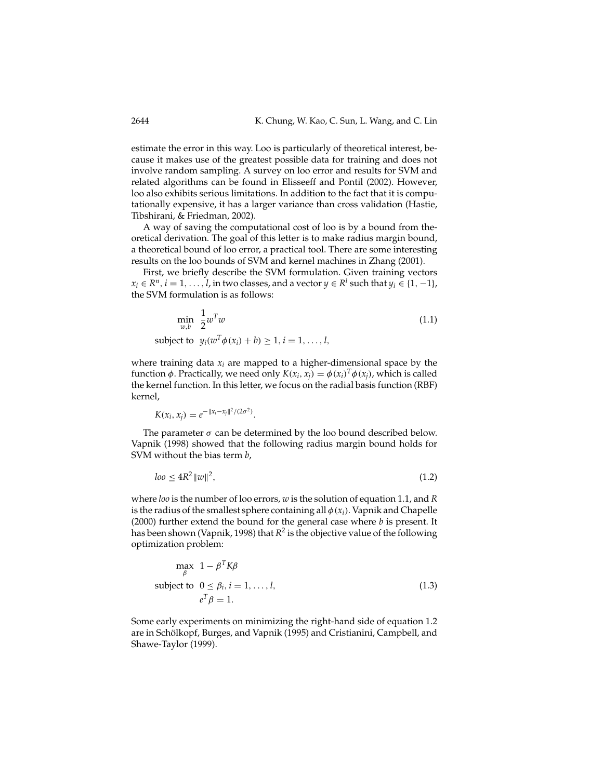estimate the error in this way. Loo is particularly of theoretical interest, because it makes use of the greatest possible data for training and does not involve random sampling. A survey on loo error and results for SVM and related algorithms can be found in Elisseeff and Pontil (2002). However, loo also exhibits serious limitations. In addition to the fact that it is computationally expensive, it has a larger variance than cross validation (Hastie, Tibshirani, & Friedman, 2002).

A way of saving the computational cost of loo is by a bound from theoretical derivation. The goal of this letter is to make radius margin bound, a theoretical bound of loo error, a practical tool. There are some interesting results on the loo bounds of SVM and kernel machines in Zhang (2001).

First, we briefly describe the SVM formulation. Given training vectors  $x_i \in \mathbb{R}^n$ ,  $i = 1, \ldots, l$ , in two classes, and a vector  $y \in \mathbb{R}^l$  such that  $y_i \in \{1, -1\}$ , the SVM formulation is as follows:

$$
\min_{w,b} \frac{1}{2} w^T w \tag{1.1}
$$

subject to  $y_i(w^1 \phi(x_i) + b) \ge 1, i = 1, ..., l$ ,

where training data  $x_i$  are mapped to a higher-dimensional space by the function *φ*. Practically, we need only  $K(x_i, x_j) = \phi(x_i)^T \phi(x_j)$ , which is called the kernel function. In this letter, we focus on the radial basis function (RBF) kernel,

$$
K(x_i, x_j) = e^{-\|x_i - x_j\|^2/(2\sigma^2)}.
$$

The parameter  $\sigma$  can be determined by the loo bound described below. Vapnik (1998) showed that the following radius margin bound holds for SVM without the bias term *b*,

$$
loo \le 4R^2 \|w\|^2,\tag{1.2}
$$

where *loo* is the number of loo errors, *w* is the solution of equation 1.1, and *R* is the radius of the smallest sphere containing all  $\phi(x_i)$ . Vapnik and Chapelle (2000) further extend the bound for the general case where *b* is present. It has been shown (Vapnik, 1998) that  $R^2$  is the objective value of the following optimization problem:

$$
\max_{\beta} \quad 1 - \beta^T K \beta
$$
\n
$$
\text{subject to} \quad 0 \le \beta_i, i = 1, \dots, l,
$$
\n
$$
e^T \beta = 1.
$$
\n(1.3)

Some early experiments on minimizing the right-hand side of equation 1.2 are in Schölkopf, Burges, and Vapnik (1995) and Cristianini, Campbell, and Shawe-Taylor (1999).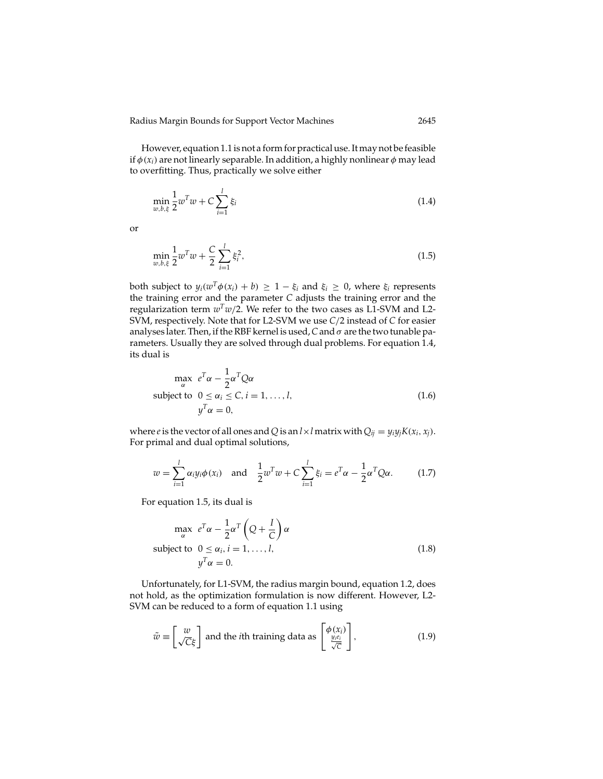However, equation 1.1 is not a form for practical use. It may not be feasible if  $\phi(x_i)$  are not linearly separable. In addition, a highly nonlinear  $\phi$  may lead to overfitting. Thus, practically we solve either

$$
\min_{w,b,\xi} \frac{1}{2} w^T w + C \sum_{i=1}^l \xi_i
$$
\n(1.4)

or

$$
\min_{w,b,\xi} \frac{1}{2} w^T w + \frac{C}{2} \sum_{i=1}^l \xi_i^2,\tag{1.5}
$$

both subject to  $y_i(w^T\phi(x_i) + b) \geq 1 - \xi_i$  and  $\xi_i \geq 0$ , where  $\xi_i$  represents the training error and the parameter *C* adjusts the training error and the regularization term  $w^Tw/2$ . We refer to the two cases as L1-SVM and L2-SVM, respectively. Note that for L2-SVM we use *C*/2 instead of *C* for easier analyses later. Then, if the RBF kernel is used,*C*and σ are the two tunable parameters. Usually they are solved through dual problems. For equation 1.4, its dual is

$$
\max_{\alpha} e^{T} \alpha - \frac{1}{2} \alpha^{T} Q \alpha
$$
\nsubject to  $0 \le \alpha_{i} \le C, i = 1, ..., l,$   
\n
$$
y^{T} \alpha = 0,
$$
\n(1.6)

where *e* is the vector of all ones and *Q* is an  $l \times l$  matrix with  $Q_{ij} = y_i y_j K(x_i, x_j)$ . For primal and dual optimal solutions,

$$
w = \sum_{i=1}^{l} \alpha_i y_i \phi(x_i) \text{ and } \frac{1}{2} w^T w + C \sum_{i=1}^{l} \xi_i = e^T \alpha - \frac{1}{2} \alpha^T Q \alpha.
$$
 (1.7)

For equation 1.5, its dual is

$$
\max_{\alpha} e^{T} \alpha - \frac{1}{2} \alpha^{T} \left( Q + \frac{I}{C} \right) \alpha
$$
\nsubject to  $0 \le \alpha_i, i = 1, ..., l,$   
\n
$$
y^{T} \alpha = 0.
$$
\n(1.8)

Unfortunately, for L1-SVM, the radius margin bound, equation 1.2, does not hold, as the optimization formulation is now different. However, L2- SVM can be reduced to a form of equation 1.1 using

$$
\tilde{w} \equiv \begin{bmatrix} w \\ \sqrt{C}\xi \end{bmatrix}
$$
 and the *i*th training data as 
$$
\begin{bmatrix} \phi(x_i) \\ \frac{y_i e_i}{\sqrt{C}} \end{bmatrix}
$$
, (1.9)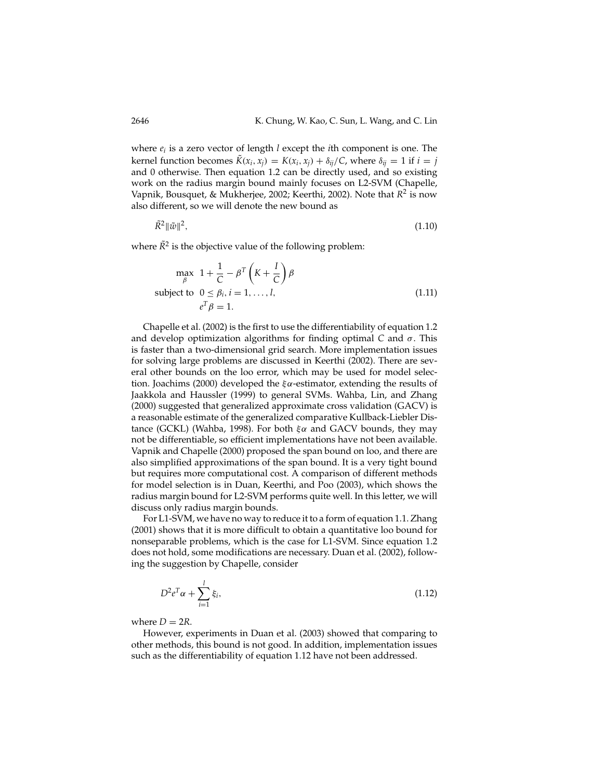where *ei* is a zero vector of length *l* except the *i*th component is one. The kernel function becomes  $\tilde{K}(x_i, x_j) = K(x_i, x_j) + \delta_{ij}/C$ , where  $\delta_{ij} = 1$  if  $i = j$ and 0 otherwise. Then equation 1.2 can be directly used, and so existing work on the radius margin bound mainly focuses on L2-SVM (Chapelle, Vapnik, Bousquet, & Mukherjee, 2002; Keerthi, 2002). Note that *R*<sup>2</sup> is now also different, so we will denote the new bound as

$$
\tilde{R}^2 \|\tilde{w}\|^2, \tag{1.10}
$$

where  $\tilde{R}^2$  is the objective value of the following problem:

$$
\max_{\beta} \quad 1 + \frac{1}{C} - \beta^T \left( K + \frac{I}{C} \right) \beta
$$
\n
$$
\text{subject to} \quad 0 \le \beta_i, i = 1, \dots, l,
$$
\n
$$
e^T \beta = 1.
$$
\n(1.11)

Chapelle et al. (2002) is the first to use the differentiability of equation 1.2 and develop optimization algorithms for finding optimal *C* and σ. This is faster than a two-dimensional grid search. More implementation issues for solving large problems are discussed in Keerthi (2002). There are several other bounds on the loo error, which may be used for model selection. Joachims (2000) developed the  $\xi \alpha$ -estimator, extending the results of Jaakkola and Haussler (1999) to general SVMs. Wahba, Lin, and Zhang (2000) suggested that generalized approximate cross validation (GACV) is a reasonable estimate of the generalized comparative Kullback-Liebler Distance (GCKL) (Wahba, 1998). For both  $ξα$  and GACV bounds, they may not be differentiable, so efficient implementations have not been available. Vapnik and Chapelle (2000) proposed the span bound on loo, and there are also simplified approximations of the span bound. It is a very tight bound but requires more computational cost. A comparison of different methods for model selection is in Duan, Keerthi, and Poo (2003), which shows the radius margin bound for L2-SVM performs quite well. In this letter, we will discuss only radius margin bounds.

For L1-SVM, we have no way to reduce it to a form of equation 1.1. Zhang (2001) shows that it is more difficult to obtain a quantitative loo bound for nonseparable problems, which is the case for L1-SVM. Since equation 1.2 does not hold, some modifications are necessary. Duan et al. (2002), following the suggestion by Chapelle, consider

$$
D^2 e^T \alpha + \sum_{i=1}^l \xi_i,
$$
\t(1.12)

where  $D = 2R$ .

However, experiments in Duan et al. (2003) showed that comparing to other methods, this bound is not good. In addition, implementation issues such as the differentiability of equation 1.12 have not been addressed.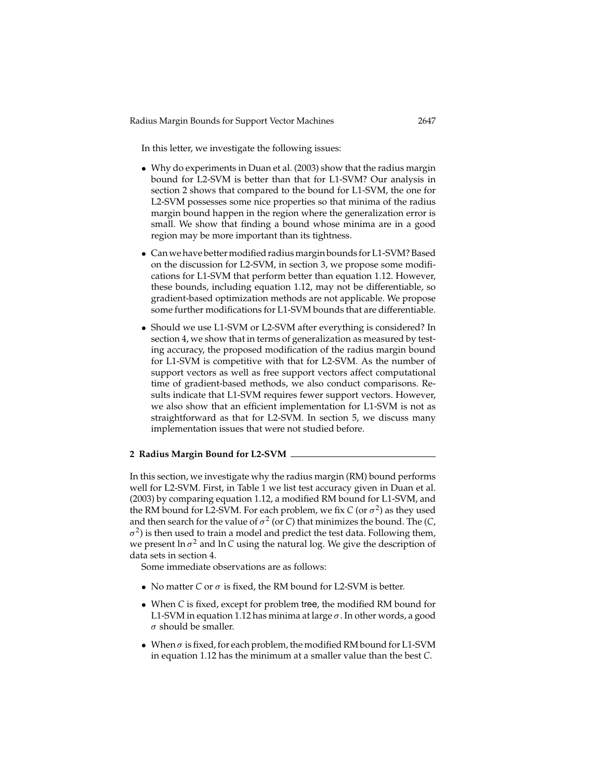In this letter, we investigate the following issues:

- Why do experiments in Duan et al. (2003) show that the radius margin bound for L2-SVM is better than that for L1-SVM? Our analysis in section 2 shows that compared to the bound for L1-SVM, the one for L2-SVM possesses some nice properties so that minima of the radius margin bound happen in the region where the generalization error is small. We show that finding a bound whose minima are in a good region may be more important than its tightness.
- Can we have better modified radius margin bounds for L1-SVM? Based on the discussion for L2-SVM, in section 3, we propose some modifications for L1-SVM that perform better than equation 1.12. However, these bounds, including equation 1.12, may not be differentiable, so gradient-based optimization methods are not applicable. We propose some further modifications for L1-SVM bounds that are differentiable.
- Should we use L1-SVM or L2-SVM after everything is considered? In section 4, we show that in terms of generalization as measured by testing accuracy, the proposed modification of the radius margin bound for L1-SVM is competitive with that for L2-SVM. As the number of support vectors as well as free support vectors affect computational time of gradient-based methods, we also conduct comparisons. Results indicate that L1-SVM requires fewer support vectors. However, we also show that an efficient implementation for L1-SVM is not as straightforward as that for L2-SVM. In section 5, we discuss many implementation issues that were not studied before.

## **2 Radius Margin Bound for L2-SVM**

In this section, we investigate why the radius margin (RM) bound performs well for L2-SVM. First, in Table 1 we list test accuracy given in Duan et al. (2003) by comparing equation 1.12, a modified RM bound for L1-SVM, and the RM bound for L2-SVM. For each problem, we fix  $C$  (or  $\sigma^2$ ) as they used and then search for the value of  $\sigma^2$  (or *C*) that minimizes the bound. The (*C*,  $\sigma^2$ ) is then used to train a model and predict the test data. Following them, we present  $\ln \sigma^2$  and  $\ln C$  using the natural log. We give the description of data sets in section 4.

Some immediate observations are as follows:

- No matter *C* or  $\sigma$  is fixed, the RM bound for L2-SVM is better.
- When *C* is fixed, except for problem tree, the modified RM bound for L1-SVM in equation 1.12 has minima at large  $\sigma$ . In other words, a good  $\sigma$  should be smaller.
- When  $\sigma$  is fixed, for each problem, the modified RM bound for L1-SVM in equation 1.12 has the minimum at a smaller value than the best *C*.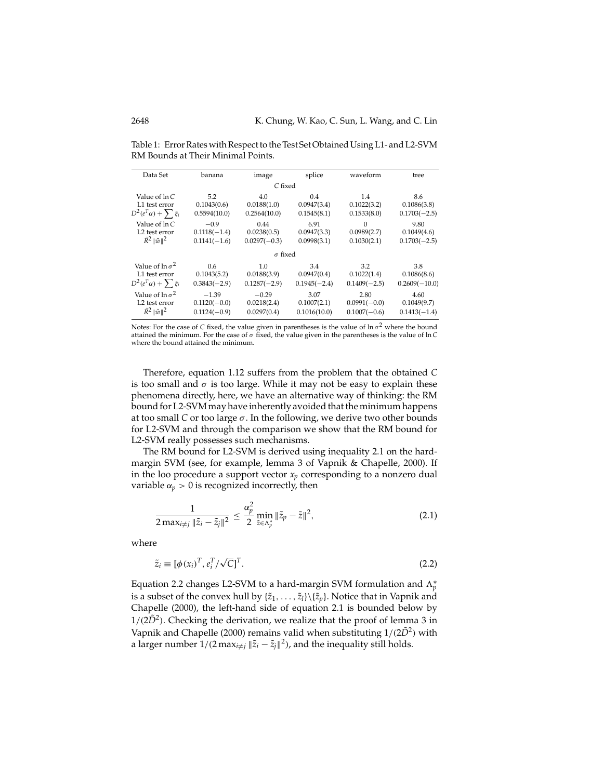| Data Set                        | banana         | image          | splice         | waveform       | tree            |
|---------------------------------|----------------|----------------|----------------|----------------|-----------------|
|                                 |                | C fixed        |                |                |                 |
| Value of ln C                   | 5.2            | 4.0            | 0.4            | 1.4            | 8.6             |
| L1 test error                   | 0.1043(0.6)    | 0.0188(1.0)    | 0.0947(3.4)    | 0.1022(3.2)    | 0.1086(3.8)     |
| $D^2(e^T\alpha) + \sum \xi_i$   | 0.5594(10.0)   | 0.2564(10.0)   | 0.1545(8.1)    | 0.1533(8.0)    | $0.1703(-2.5)$  |
| Value of ln C                   | $-0.9$         | 0.44           | 6.91           | $\Omega$       | 9.80            |
| L <sub>2</sub> test error       | $0.1118(-1.4)$ | 0.0238(0.5)    | 0.0947(3.3)    | 0.0989(2.7)    | 0.1049(4.6)     |
| $\tilde{R}^2$ $\ \tilde{w}\ ^2$ | $0.1141(-1.6)$ | $0.0297(-0.3)$ | 0.0998(3.1)    | 0.1030(2.1)    | $0.1703(-2.5)$  |
|                                 |                | $\sigma$ fixed |                |                |                 |
| Value of $\ln \sigma^2$         | 0.6            | 1.0            | 3.4            | 3.2            | 3.8             |
| L1 test error                   | 0.1043(5.2)    | 0.0188(3.9)    | 0.0947(0.4)    | 0.1022(1.4)    | 0.1086(8.6)     |
| $D^2(e^T\alpha) + \sum \xi_i$   | $0.3843(-2.9)$ | $0.1287(-2.9)$ | $0.1945(-2.4)$ | $0.1409(-2.5)$ | $0.2609(-10.0)$ |
| Value of $\ln \sigma^2$         | $-1.39$        | $-0.29$        | 3.07           | 2.80           | 4.60            |
| L <sub>2</sub> test error       | $0.1120(-0.0)$ | 0.0218(2.4)    | 0.1007(2.1)    | $0.0991(-0.0)$ | 0.1049(9.7)     |
| $\tilde{R}^2$ $\ \tilde{w}\ ^2$ | $0.1124(-0.9)$ | 0.0297(0.4)    | 0.1016(10.0)   | $0.1007(-0.6)$ | $0.1413(-1.4)$  |

Table 1: Error Rates with Respect to the Test Set Obtained Using L1- and L2-SVM RM Bounds at Their Minimal Points.

Notes: For the case of *C* fixed, the value given in parentheses is the value of  $\ln \sigma^2$  where the bound attained the minimum. For the case of  $\sigma$  fixed, the value given in the parentheses is the value of ln C where the bound attained the minimum.

Therefore, equation 1.12 suffers from the problem that the obtained *C* is too small and  $\sigma$  is too large. While it may not be easy to explain these phenomena directly, here, we have an alternative way of thinking: the RM bound for L2-SVM may have inherently avoided that the minimum happens at too small  $C$  or too large  $\sigma$ . In the following, we derive two other bounds for L2-SVM and through the comparison we show that the RM bound for L2-SVM really possesses such mechanisms.

The RM bound for L2-SVM is derived using inequality 2.1 on the hardmargin SVM (see, for example, lemma 3 of Vapnik & Chapelle, 2000). If in the loo procedure a support vector  $x_p$  corresponding to a nonzero dual variable  $\alpha_p > 0$  is recognized incorrectly, then

$$
\frac{1}{2 \max_{i \neq j} \|\tilde{z}_i - \tilde{z}_j\|^2} \le \frac{\alpha_p^2}{2} \min_{\tilde{z} \in \Lambda_p^*} \|\tilde{z}_p - \tilde{z}\|^2,
$$
\n(2.1)

where

$$
\tilde{z}_i \equiv [\phi(x_i)^T, e_i^T/\sqrt{C}]^T. \tag{2.2}
$$

Equation 2.2 changes L2-SVM to a hard-margin SVM formulation and  $\Lambda_p^*$ is a subset of the convex hull by  $\{\tilde{z}_1,\ldots,\tilde{z}_l\}\setminus\{\tilde{z}_p\}$ . Notice that in Vapnik and Chapelle (2000), the left-hand side of equation 2.1 is bounded below by  $1/(2D<sup>2</sup>)$ . Checking the derivation, we realize that the proof of lemma 3 in Vapnik and Chapelle (2000) remains valid when substituting  $1/(2\tilde{D}^2)$  with a larger number  $1/(2 \max_{i \neq j} ||\tilde{z}_i - \tilde{z}_j||^2)$ , and the inequality still holds.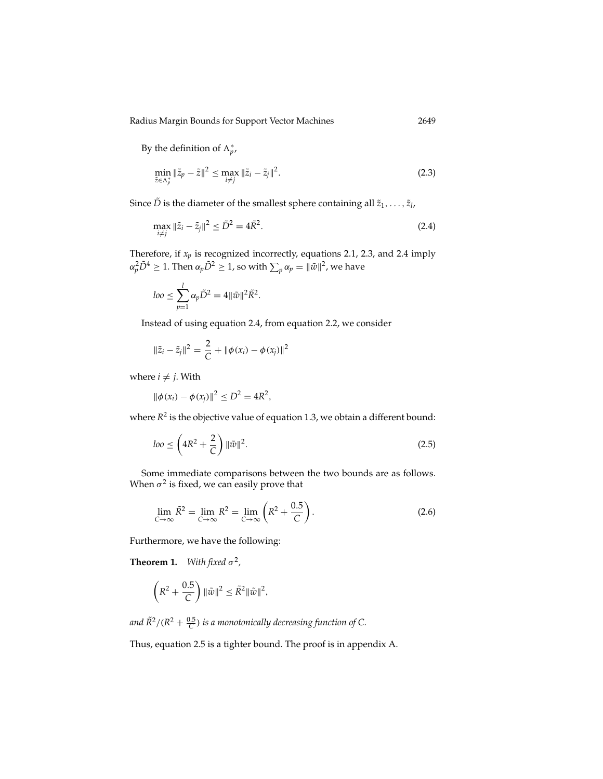By the definition of  $\Lambda_p^*$ ,

$$
\min_{\tilde{z}\in\Lambda_p^*} \|\tilde{z}_p - \tilde{z}\|^2 \le \max_{i\neq j} \|\tilde{z}_i - \tilde{z}_j\|^2. \tag{2.3}
$$

Since  $\tilde{D}$  is the diameter of the smallest sphere containing all  $\tilde{z}_1, \ldots, \tilde{z}_l$ ,

$$
\max_{i \neq j} \|\tilde{z}_i - \tilde{z}_j\|^2 \le \tilde{D}^2 = 4\tilde{R}^2. \tag{2.4}
$$

Therefore, if *xp* is recognized incorrectly, equations 2.1, 2.3, and 2.4 imply  $\alpha_p^2\tilde{D}^4\geq 1.$  Then  $\alpha_p\tilde{D}^2\geq 1$ , so with  $\sum_p\alpha_p=\|\tilde{w}\|^2$ , we have

$$
loo \leq \sum_{p=1}^l \alpha_p \tilde{D}^2 = 4 \|\tilde{w}\|^2 \tilde{R}^2.
$$

Instead of using equation 2.4, from equation 2.2, we consider

$$
\|\tilde{z}_i - \tilde{z}_j\|^2 = \frac{2}{C} + \|\phi(x_i) - \phi(x_j)\|^2
$$

where  $i \neq j$ . With

$$
\|\phi(x_i) - \phi(x_j)\|^2 \le D^2 = 4R^2,
$$

where  $R^2$  is the objective value of equation 1.3, we obtain a different bound:

$$
loo \le \left(4R^2 + \frac{2}{C}\right) ||\tilde{w}||^2. \tag{2.5}
$$

Some immediate comparisons between the two bounds are as follows. When  $\sigma^2$  is fixed, we can easily prove that

$$
\lim_{C \to \infty} \tilde{R}^2 = \lim_{C \to \infty} R^2 = \lim_{C \to \infty} \left( R^2 + \frac{0.5}{C} \right). \tag{2.6}
$$

Furthermore, we have the following:

**Theorem 1.** *With fixed*  $\sigma^2$ *,* 

$$
\left(R^2 + \frac{0.5}{C}\right) \|\tilde{w}\|^2 \le \tilde{R}^2 \|\tilde{w}\|^2,
$$

and  $\tilde{R}^2/(R^2+\frac{0.5}{C})$  *is a monotonically decreasing function of C.* 

Thus, equation 2.5 is a tighter bound. The proof is in appendix A.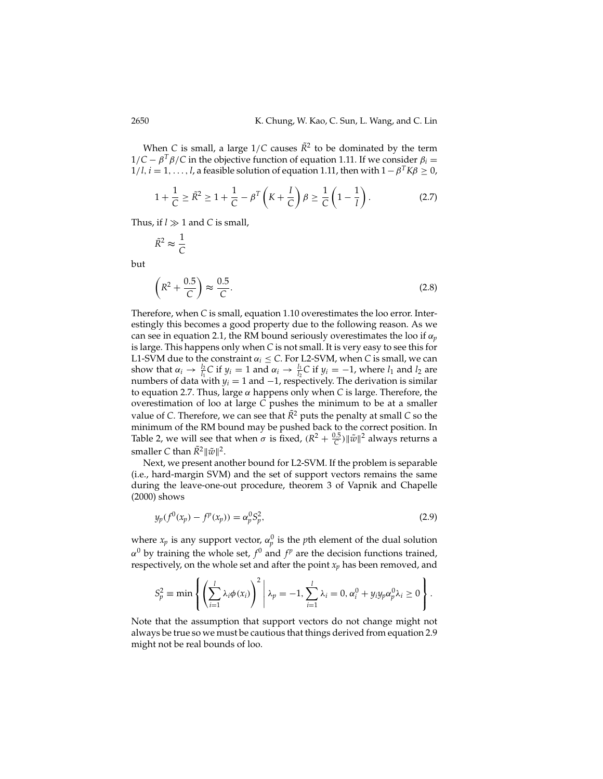When *C* is small, a large  $1/C$  causes  $\bar{R}^2$  to be dominated by the term  $1/C - \beta^T \beta / C$  in the objective function of equation 1.11. If we consider  $\beta_i =$  $1/l$ ,  $i = 1, \ldots, l$ , a feasible solution of equation 1.11, then with  $1 - \beta^T K \beta \geq 0$ ,

$$
1 + \frac{1}{C} \ge \tilde{R}^2 \ge 1 + \frac{1}{C} - \beta^T \left( K + \frac{I}{C} \right) \beta \ge \frac{1}{C} \left( 1 - \frac{1}{l} \right). \tag{2.7}
$$

Thus, if  $l \gg 1$  and C is small,

$$
\tilde{R}^2 \approx \frac{1}{C}
$$

but

$$
\left(R^2 + \frac{0.5}{C}\right) \approx \frac{0.5}{C}.\tag{2.8}
$$

Therefore, when *C* is small, equation 1.10 overestimates the loo error. Interestingly this becomes a good property due to the following reason. As we can see in equation 2.1, the RM bound seriously overestimates the loo if  $\alpha_p$ is large. This happens only when *C* is not small. It is very easy to see this for L1-SVM due to the constraint  $\alpha_i \leq C$ . For L2-SVM, when *C* is small, we can show that  $\alpha_i \rightarrow \frac{l_2}{l_1}C$  if  $y_i = 1$  and  $\alpha_i \rightarrow \frac{l_1}{l_2}C$  if  $y_i = -1$ , where  $l_1$  and  $l_2$  are numbers of data with  $y_i = 1$  and  $-1$ , respectively. The derivation is similar to equation 2.7. Thus, large α happens only when *C* is large. Therefore, the overestimation of loo at large *C* pushes the minimum to be at a smaller value of *C*. Therefore, we can see that  $\tilde{R}^2$  puts the penalty at small *C* so the minimum of the RM bound may be pushed back to the correct position. In Table 2, we will see that when  $\sigma$  is fixed,  $(R^2 + \frac{0.5}{C}) ||\tilde{w}||^2$  always returns a smaller *C* than  $\tilde{R}^2 ||\tilde{w}||^2$ .

Next, we present another bound for L2-SVM. If the problem is separable (i.e., hard-margin SVM) and the set of support vectors remains the same during the leave-one-out procedure, theorem 3 of Vapnik and Chapelle (2000) shows

$$
y_p(f^0(x_p) - f^p(x_p)) = \alpha_p^0 S_p^2,
$$
\n(2.9)

where  $x_p$  is any support vector,  $\alpha_p^0$  is the *p*th element of the dual solution  $\alpha^{0}$  by training the whole set,  $f^{0}$  and  $f^{p}$  are the decision functions trained, respectively, on the whole set and after the point  $x_n$  has been removed, and

$$
S_p^2 \equiv \min \left\{ \left( \sum_{i=1}^l \lambda_i \phi(x_i) \right)^2 \middle| \lambda_p = -1, \sum_{i=1}^l \lambda_i = 0, \alpha_i^0 + y_i y_p \alpha_p^0 \lambda_i \ge 0 \right\}.
$$

Note that the assumption that support vectors do not change might not always be true so we must be cautious that things derived from equation 2.9 might not be real bounds of loo.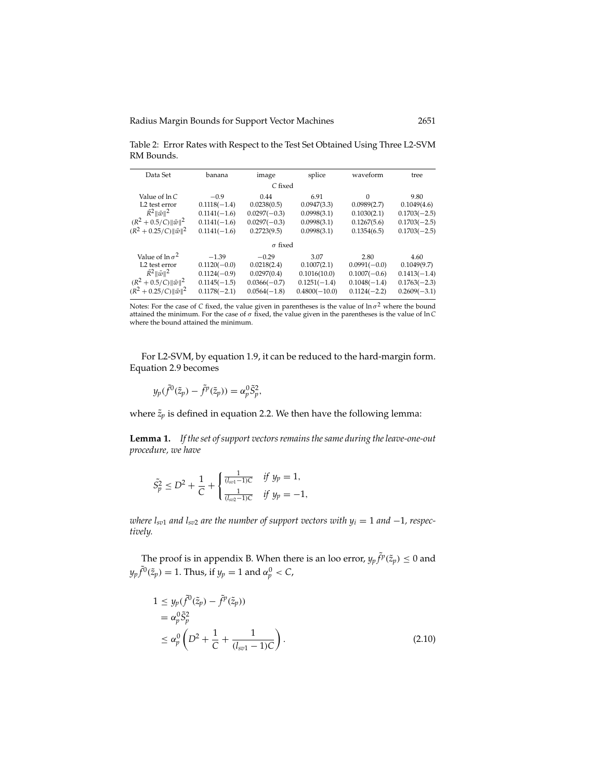Table 2: Error Rates with Respect to the Test Set Obtained Using Three L2-SVM RM Bounds.

| Data Set                                                                                                                                           | banana                                                                          | image                                                                     | splice                                                                   | waveform                                                                     | tree                                                                      |
|----------------------------------------------------------------------------------------------------------------------------------------------------|---------------------------------------------------------------------------------|---------------------------------------------------------------------------|--------------------------------------------------------------------------|------------------------------------------------------------------------------|---------------------------------------------------------------------------|
|                                                                                                                                                    |                                                                                 | C fixed                                                                   |                                                                          |                                                                              |                                                                           |
| Value of ln C<br>L <sub>2</sub> test error                                                                                                         | $-0.9$<br>$0.1118(-1.4)$                                                        | 0.44<br>0.0238(0.5)                                                       | 6.91<br>0.0947(3.3)                                                      | $\Omega$<br>0.0989(2.7)                                                      | 9.80<br>0.1049(4.6)                                                       |
| $\tilde{R}^2$ $\ \tilde{w}\ ^2$                                                                                                                    | $0.1141(-1.6)$                                                                  | $0.0297(-0.3)$                                                            | 0.0998(3.1)                                                              | 0.1030(2.1)                                                                  | $0.1703(-2.5)$                                                            |
| $(R^2 + 0.5/C)   \tilde{w}  ^2$                                                                                                                    | $0.1141(-1.6)$                                                                  | $0.0297(-0.3)$                                                            | 0.0998(3.1)                                                              | 0.1267(5.6)                                                                  | $0.1703(-2.5)$                                                            |
| $(R^2 + 0.25/C)   \tilde{w}  ^2$                                                                                                                   | $0.1141(-1.6)$                                                                  | 0.2723(9.5)                                                               | 0.0998(3.1)                                                              | 0.1354(6.5)                                                                  | $0.1703(-2.5)$                                                            |
|                                                                                                                                                    |                                                                                 | $\sigma$ fixed                                                            |                                                                          |                                                                              |                                                                           |
| Value of $\ln \sigma^2$<br>L2 test error<br>$\tilde{R}^2$ $\ \tilde{w}\ ^2$<br>$(R^2 + 0.5/C)   \tilde{w}  ^2$<br>$(R^2 + 0.25/C)   \tilde{w}  ^2$ | $-1.39$<br>$0.1120(-0.0)$<br>$0.1124(-0.9)$<br>$0.1145(-1.5)$<br>$0.1178(-2.1)$ | $-0.29$<br>0.0218(2.4)<br>0.0297(0.4)<br>$0.0366(-0.7)$<br>$0.0564(-1.8)$ | 3.07<br>0.1007(2.1)<br>0.1016(10.0)<br>$0.1251(-1.4)$<br>$0.4800(-10.0)$ | 2.80<br>$0.0991(-0.0)$<br>$0.1007(-0.6)$<br>$0.1048(-1.4)$<br>$0.1124(-2.2)$ | 4.60<br>0.1049(9.7)<br>$0.1413(-1.4)$<br>$0.1763(-2.3)$<br>$0.2609(-3.1)$ |

Notes: For the case of *C* fixed, the value given in parentheses is the value of ln σ<sup>2</sup> where the bound attained the minimum. For the case of σ fixed, the value given in the parentheses is the value of ln *C* where the bound attained the minimum.

For L2-SVM, by equation 1.9, it can be reduced to the hard-margin form. Equation 2.9 becomes

$$
y_p(\tilde{f}^0(\tilde{z}_p)-\tilde{f}^p(\tilde{z}_p))=\alpha_p^0\tilde{S}_p^2,
$$

where  $\tilde{z}_p$  is defined in equation 2.2. We then have the following lemma:

**Lemma 1.** *If the set of support vectors remains the same during the leave-one-out procedure, we have*

$$
\tilde{S}_p^2 \le D^2 + \frac{1}{C} + \begin{cases} \frac{1}{(l_{sv1}-1)C} & \text{if } y_p = 1, \\ \frac{1}{(l_{sv2}-1)C} & \text{if } y_p = -1, \end{cases}
$$

*where*  $l_{sv1}$  *and*  $l_{sv2}$  *are the number of support vectors with*  $y_i = 1$  *and*  $-1$ *, respectively.*

The proof is in appendix B. When there is an loo error,  $y_p \tilde{f}^p(\tilde{z}_p) \leq 0$  and  $y_p \tilde{f}^0(\tilde{z}_p) = 1$ . Thus, if  $y_p = 1$  and  $\alpha_p^0 < C$ ,

$$
1 \leq y_p(\tilde{f}^0(\tilde{z}_p) - \tilde{f}^p(\tilde{z}_p))
$$
  
\n
$$
= \alpha_p^0 \tilde{S}_p^2
$$
  
\n
$$
\leq \alpha_p^0 \left( D^2 + \frac{1}{C} + \frac{1}{(l_{sv1} - 1)C} \right).
$$
\n(2.10)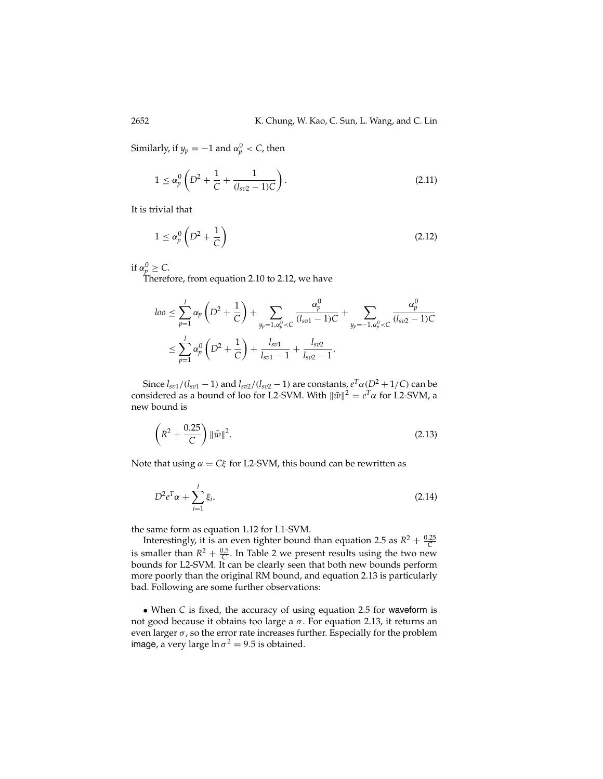Similarly, if  $y_p = -1$  and  $\alpha_p^0 < C$ , then

$$
1 \le \alpha_p^0 \left( D^2 + \frac{1}{C} + \frac{1}{(l_{sv2} - 1)C} \right). \tag{2.11}
$$

It is trivial that

$$
1 \le \alpha_p^0 \left( D^2 + \frac{1}{C} \right) \tag{2.12}
$$

if  $\alpha_p^0 \ge C$ .

Therefore, from equation 2.10 to 2.12, we have

$$
loo \leq \sum_{p=1}^{l} \alpha_p \left( D^2 + \frac{1}{C} \right) + \sum_{y_p=1, \alpha_p^0 < C} \frac{\alpha_p^0}{(l_{sv1} - 1)C} + \sum_{y_p=-1, \alpha_p^0 < C} \frac{\alpha_p^0}{(l_{sv2} - 1)C}
$$
\n
$$
\leq \sum_{p=1}^{l} \alpha_p^0 \left( D^2 + \frac{1}{C} \right) + \frac{l_{sv1}}{l_{sv1} - 1} + \frac{l_{sv2}}{l_{sv2} - 1}.
$$

Since  $l_{sv1}/(l_{sv1} - 1)$  and  $l_{sv2}/(l_{sv2} - 1)$  are constants,  $e^T\alpha(D^2 + 1/C)$  can be considered as a bound of loo for L2-SVM. With  $\|\tilde{w}\|^2 = e^T\alpha$  for L2-SVM, a new bound is

$$
\left(R^2 + \frac{0.25}{C}\right) \|\tilde{w}\|^2. \tag{2.13}
$$

Note that using  $\alpha = C\xi$  for L2-SVM, this bound can be rewritten as

$$
D^2 e^T \alpha + \sum_{i=1}^l \xi_i,\tag{2.14}
$$

the same form as equation 1.12 for L1-SVM.

Interestingly, it is an even tighter bound than equation 2.5 as  $R^2 + \frac{0.25}{C}$ is smaller than  $R^2 + \frac{0.5}{C}$ . In Table 2 we present results using the two new bounds for L2-SVM. It can be clearly seen that both new bounds perform more poorly than the original RM bound, and equation 2.13 is particularly bad. Following are some further observations:

• When *C* is fixed, the accuracy of using equation 2.5 for waveform is not good because it obtains too large a  $σ$ . For equation 2.13, it returns an even larger  $\sigma$ , so the error rate increases further. Especially for the problem image, a very large  $\ln \sigma^2 = 9.5$  is obtained.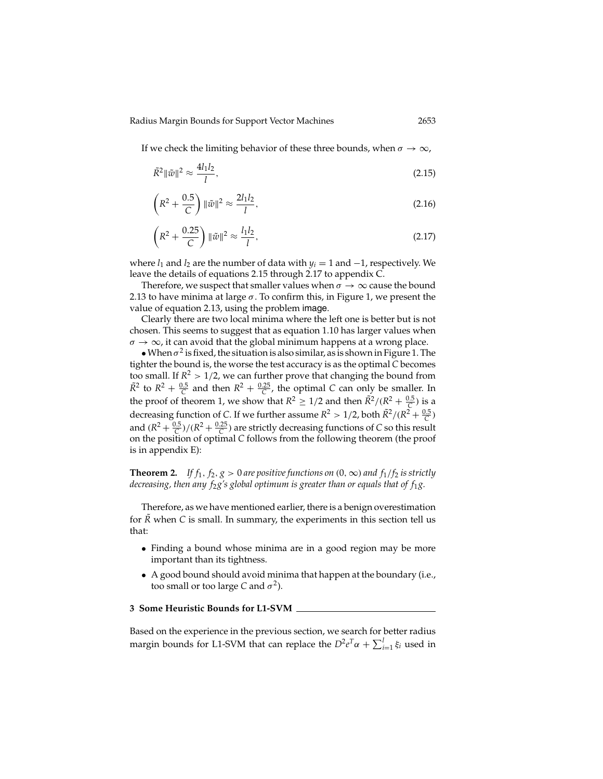If we check the limiting behavior of these three bounds, when  $\sigma \to \infty$ ,

$$
\tilde{R}^2 \|\tilde{w}\|^2 \approx \frac{4l_1 l_2}{l},\tag{2.15}
$$

$$
\left(R^2 + \frac{0.5}{C}\right) \|\tilde{w}\|^2 \approx \frac{2l_1 l_2}{l},\tag{2.16}
$$

$$
\left(R^2 + \frac{0.25}{C}\right) \|\tilde{w}\|^2 \approx \frac{l_1 l_2}{l},\tag{2.17}
$$

where  $l_1$  and  $l_2$  are the number of data with  $y_i = 1$  and  $-1$ , respectively. We leave the details of equations 2.15 through 2.17 to appendix C.

Therefore, we suspect that smaller values when  $\sigma \to \infty$  cause the bound 2.13 to have minima at large  $\sigma$ . To confirm this, in Figure 1, we present the value of equation 2.13, using the problem image.

Clearly there are two local minima where the left one is better but is not chosen. This seems to suggest that as equation 1.10 has larger values when  $\sigma \to \infty$ , it can avoid that the global minimum happens at a wrong place.

• When  $\sigma^2$  is fixed, the situation is also similar, as is shown in Figure 1. The tighter the bound is, the worse the test accuracy is as the optimal *C* becomes too small. If  $R^2 > 1/2$ , we can further prove that changing the bound from  $\tilde{R}^2$  to  $R^2 + \frac{0.5}{C}$  and then  $R^2 + \frac{0.25}{C}$ , the optimal *C* can only be smaller. In the proof of theorem 1, we show that  $R^2 \ge 1/2$  and then  $\tilde{R}^2/(R^2 + \frac{0.5}{C})$  is a decreasing function of *C*. If we further assume  $R^2 > 1/2$ , both  $\tilde{R}^2 / (R^2 + \frac{0.5}{C})$ and  $(R^2 + \frac{0.5}{C})/(R^2 + \frac{0.25}{C})$  are strictly decreasing functions of *C* so this result on the position of optimal *C* follows from the following theorem (the proof is in appendix E):

**Theorem 2.** *If*  $f_1$ ,  $f_2$ ,  $g > 0$  are positive functions on  $(0, \infty)$  and  $f_1/f_2$  is strictly *decreasing, then any f*2*g's global optimum is greater than or equals that of f*1*g.*

Therefore, as we have mentioned earlier, there is a benign overestimation for  $\overline{R}$  when  $C$  is small. In summary, the experiments in this section tell us that:

- Finding a bound whose minima are in a good region may be more important than its tightness.
- A good bound should avoid minima that happen at the boundary (i.e., too small or too large *C* and  $\sigma^2$ ).

## **3 Some Heuristic Bounds for L1-SVM**

Based on the experience in the previous section, we search for better radius margin bounds for L1-SVM that can replace the  $D^2e^T\alpha + \sum_{i=1}^l \xi_i$  used in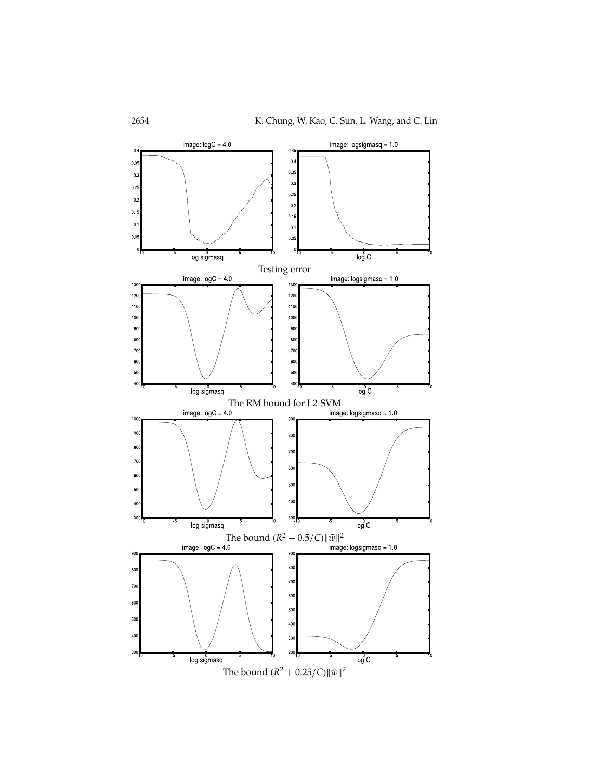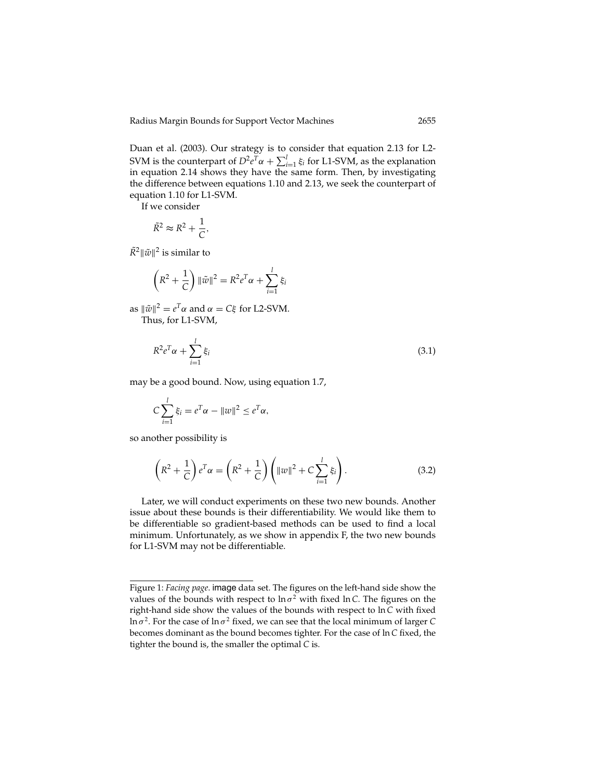Duan et al. (2003). Our strategy is to consider that equation 2.13 for L2- SVM is the counterpart of  $D^2e^T\alpha + \sum_{i=1}^l \xi_i$  for L1-SVM, as the explanation in equation 2.14 shows they have the same form. Then, by investigating the difference between equations 1.10 and 2.13, we seek the counterpart of equation 1.10 for L1-SVM.

If we consider

$$
\tilde{R}^2 \approx R^2 + \frac{1}{C},
$$

 $\tilde{R}^2 ||\tilde{w}||^2$  is similar to

$$
\left(R^2 + \frac{1}{C}\right) \|\tilde{w}\|^2 = R^2 e^T \alpha + \sum_{i=1}^l \xi_i
$$

as  $\|\tilde{w}\|^2 = e^T \alpha$  and  $\alpha = C \xi$  for L2-SVM. Thus, for L1-SVM,

$$
R^2 e^T \alpha + \sum_{i=1}^l \xi_i \tag{3.1}
$$

may be a good bound. Now, using equation 1.7,

$$
C\sum_{i=1}^{l} \xi_i = e^T \alpha - ||w||^2 \le e^T \alpha,
$$

so another possibility is

$$
\left(R^2 + \frac{1}{C}\right)e^{T}\alpha = \left(R^2 + \frac{1}{C}\right)\left(\|w\|^2 + C\sum_{i=1}^{l}\xi_i\right). \tag{3.2}
$$

Later, we will conduct experiments on these two new bounds. Another issue about these bounds is their differentiability. We would like them to be differentiable so gradient-based methods can be used to find a local minimum. Unfortunately, as we show in appendix F, the two new bounds for L1-SVM may not be differentiable.

Figure 1: *Facing page*. image data set. The figures on the left-hand side show the values of the bounds with respect to  $\ln \sigma^2$  with fixed  $\ln C$ . The figures on the right-hand side show the values of the bounds with respect to ln*C* with fixed ln  $\sigma^2$ . For the case of ln  $\sigma^2$  fixed, we can see that the local minimum of larger *C* becomes dominant as the bound becomes tighter. For the case of ln*C* fixed, the tighter the bound is, the smaller the optimal *C* is.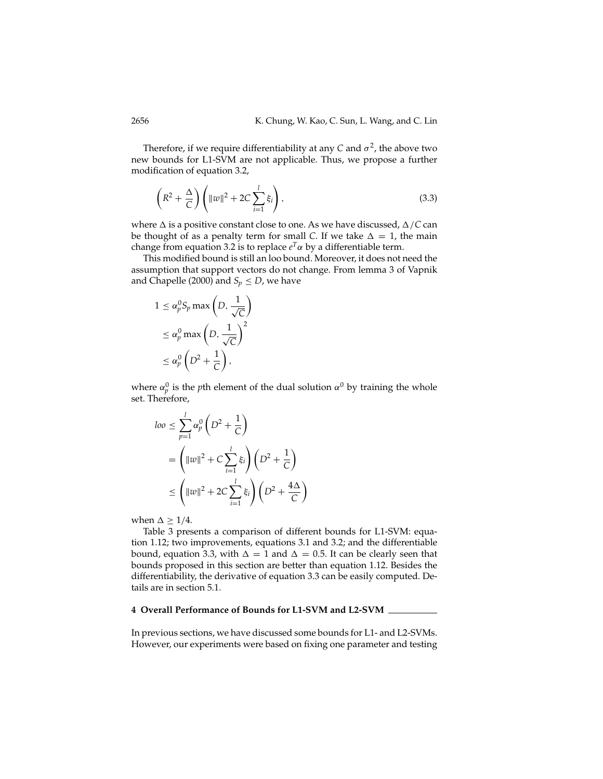Therefore, if we require differentiability at any *C* and  $\sigma^2$ , the above two new bounds for L1-SVM are not applicable. Thus, we propose a further modification of equation 3.2,

$$
\left(R^2 + \frac{\Delta}{C}\right) \left(\|w\|^2 + 2C\sum_{i=1}^l \xi_i\right),\tag{3.3}
$$

where  $\Delta$  is a positive constant close to one. As we have discussed,  $\Delta/C$  can be thought of as a penalty term for small *C*. If we take  $\Delta = 1$ , the main change from equation 3.2 is to replace  $e^T\alpha$  by a differentiable term.

This modified bound is still an loo bound. Moreover, it does not need the assumption that support vectors do not change. From lemma 3 of Vapnik and Chapelle (2000) and  $S_p \le D$ , we have

$$
1 \le \alpha_p^0 S_p \max\left(D, \frac{1}{\sqrt{C}}\right)
$$
  

$$
\le \alpha_p^0 \max\left(D, \frac{1}{\sqrt{C}}\right)^2
$$
  

$$
\le \alpha_p^0 \left(D^2 + \frac{1}{C}\right),
$$

where  $\alpha_p^0$  is the *p*th element of the dual solution  $\alpha^0$  by training the whole set. Therefore,

$$
log \leq \sum_{p=1}^{l} \alpha_p^0 \left( D^2 + \frac{1}{C} \right)
$$
  
=  $\left( ||w||^2 + C \sum_{i=1}^{l} \xi_i \right) \left( D^2 + \frac{1}{C} \right)$   
 $\leq \left( ||w||^2 + 2C \sum_{i=1}^{l} \xi_i \right) \left( D^2 + \frac{4\Delta}{C} \right)$ 

when  $\Delta \geq 1/4$ .

Table 3 presents a comparison of different bounds for L1-SVM: equation 1.12; two improvements, equations 3.1 and 3.2; and the differentiable bound, equation 3.3, with  $\Delta = 1$  and  $\Delta = 0.5$ . It can be clearly seen that bounds proposed in this section are better than equation 1.12. Besides the differentiability, the derivative of equation 3.3 can be easily computed. Details are in section 5.1.

## **4 Overall Performance of Bounds for L1-SVM and L2-SVM**

In previous sections, we have discussed some bounds for L1- and L2-SVMs. However, our experiments were based on fixing one parameter and testing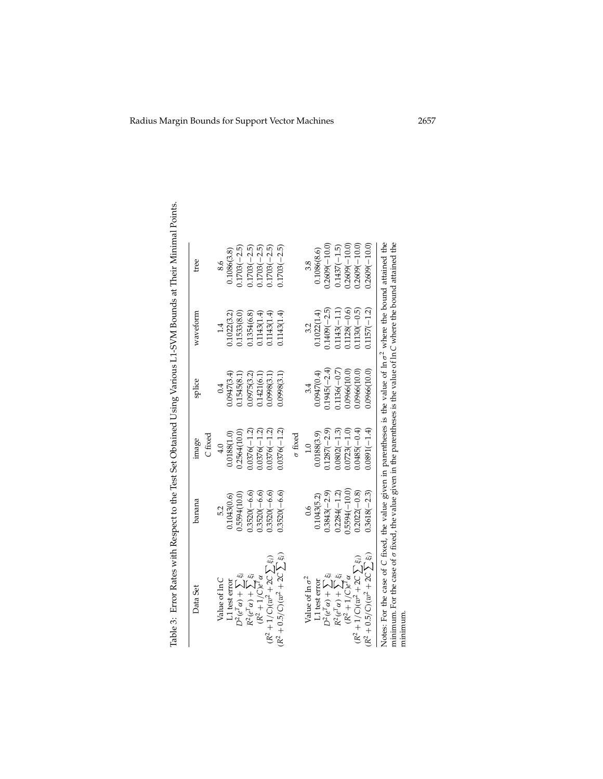| Data Set                                                                                                                   | banana          | image          | splice         | wavetorm       | tree            |  |
|----------------------------------------------------------------------------------------------------------------------------|-----------------|----------------|----------------|----------------|-----------------|--|
|                                                                                                                            |                 | $C$ fixed      |                |                |                 |  |
| Value of ln C                                                                                                              | 5.2             | 4.0            |                |                | 8.6             |  |
| L1 test error                                                                                                              | 0.1043(0.6)     | 0.0188(1.0)    | 0.0947(3.4)    | 0.1022(3.2)    | 0.1086(3.8)     |  |
| $D^2(e^T\alpha) + \sum \xi_i$                                                                                              | 0.5594(10.0)    | 0.2564(10.0)   | 0.1545(8.1)    | 0.1533(8.0)    | $0.1703(-2.5)$  |  |
| $\label{eq:R2} R^2(e^T\alpha) + \sum_i \xi_i$ $\label{eq:R2} (R^2+1/C)e^T\alpha$                                           | $0.3520(-6.6)$  | $0.0376(-1.2)$ | 0.0975(3.2)    | .1354(6.8)     | $.1703(-2.5)$   |  |
|                                                                                                                            | $0.3520(-6.6)$  | $0.0376(-1.2)$ | 0.1421(6.1)    | 0.1143(1.4)    | $1703(-2.5)$    |  |
| $(R^2 + 1/C)(w^2 + 2C \sum \xi_i)$                                                                                         | $0.3520(-6.6)$  | $.0376(-1.2)$  | 0.0998(3.1)    | 0.1143(1.4)    | $.1703(-2.5)$   |  |
| $(R^2 + 0.5/C)(w^2 + 2C \sum \xi_i)$                                                                                       | $0.3520(-6.6)$  | $0.0376(-1.2)$ | 0.0998(3.1)    | 0.1143(1.4)    | $0.1703(-2.5)$  |  |
|                                                                                                                            |                 | $\sigma$ fixed |                |                |                 |  |
| Value of $\ln \sigma^2$                                                                                                    | 0.6             | $\frac{1}{1}$  | 3.4            |                | 3.8             |  |
| L1 test error                                                                                                              | 0.1043(5.2)     | 0.0188(3.9)    | 0.0947(0.4)    | 0.1022(1.4)    | 0.1086(8.6)     |  |
| $D^2(e^T\alpha)+\sum \xi_i$                                                                                                | $0.3843(-2.9)$  | $0.1287(-2.9)$ | $0.1945(-2.4)$ | $0.1409(-2.5)$ | $0.2609(-10.0)$ |  |
|                                                                                                                            | $0.2284(-1.2)$  | $0.0802(-1.3)$ | $0.1136(-0.7)$ | $0.1143(-1.1)$ | $0.1437(-1.5)$  |  |
| $\label{eq:R2} R^2(e^T\alpha) + \sum_i \xi_i$ $\label{eq:R2} (R^2+1/C)e^T\alpha$                                           | $0.5594(-10.0)$ | $0.0723(-1.0)$ | 0.0966(10.0)   | $0.1128(-0.6)$ | $0.2609(-10.0)$ |  |
| $(R^2 + 1/C)(w^2 + 2C \sum \xi_i)$                                                                                         | $0.2022(-0.8)$  | $0.0485(-0.4)$ | 0.0966(10.0)   | $0.1130(-0.5)$ | $0.2609(-10.0)$ |  |
| $(R^2 + 0.5/C)(w^2 + 2C \sum \xi_i)$                                                                                       | $0.3618(-2.3)$  | $0.0891(-1.4)$ | 0.0966(10.0)   | $0.1157(-1.2)$ | $0.2609(-10.0)$ |  |
| Notes: For the case of C fixed, the value given in parentheses is the value of $\ln \sigma^2$ where the bound attained the |                 |                |                |                |                 |  |

Table 3: Error Rates with Respect to the Test Set Obtained Using Various L1-SVM Bounds at Their Minimal Points.

Notes: For the case of C fixed, the value given in parentheses is the value of ln  $\sigma^2$  where the bound attained the minimum. For the case of  $\sigma$  fixed, the value given in the parentheses is the value of ln *C* where the bound attained the minimum.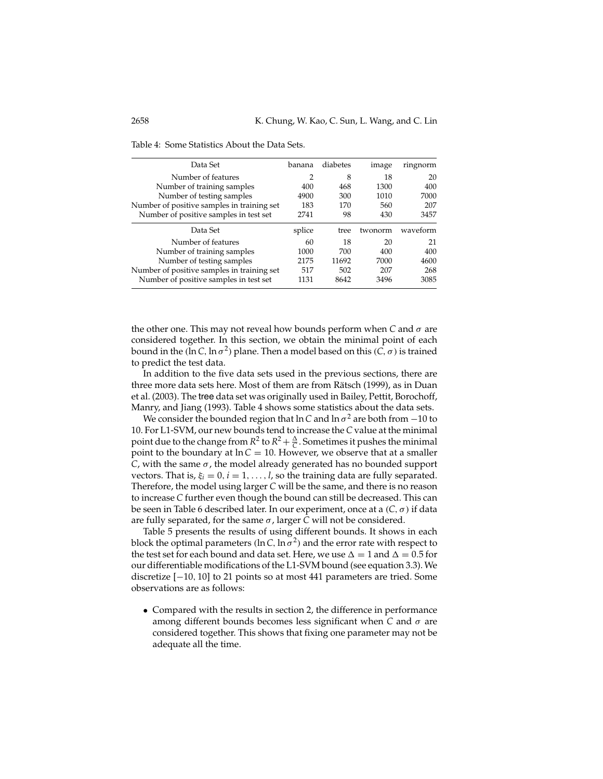| Data Set                                   | banana         | diabetes | image   | ringnorm |
|--------------------------------------------|----------------|----------|---------|----------|
| Number of features                         | $\overline{2}$ | 8        | 18      | 20       |
| Number of training samples                 | 400            | 468      | 1300    | 400      |
| Number of testing samples                  | 4900           | 300      | 1010    | 7000     |
| Number of positive samples in training set | 183            | 170      | 560     | 207      |
| Number of positive samples in test set     | 2741           | 98       | 430     | 3457     |
|                                            |                |          |         |          |
| Data Set                                   | splice         | tree     | twonorm | waveform |
| Number of features                         | 60             | 18       | 20      | 21       |
| Number of training samples                 | 1000           | 700      | 400     | 400      |
| Number of testing samples                  | 2175           | 11692    | 7000    | 4600     |
| Number of positive samples in training set | 517            | 502      | 207     | 268      |

Table 4: Some Statistics About the Data Sets.

the other one. This may not reveal how bounds perform when *C* and σ are considered together. In this section, we obtain the minimal point of each bound in the (ln *C*, ln  $\sigma^2$ ) plane. Then a model based on this (*C*,  $\sigma$ ) is trained to predict the test data.

In addition to the five data sets used in the previous sections, there are three more data sets here. Most of them are from Rätsch (1999), as in Duan et al. (2003). The tree data set was originally used in Bailey, Pettit, Borochoff, Manry, and Jiang (1993). Table 4 shows some statistics about the data sets.

We consider the bounded region that  $\ln C$  and  $\ln \sigma^2$  are both from −10 to 10. For L1-SVM, our new bounds tend to increase the *C* value at the minimal point due to the change from  $R^2$  to  $R^2 + \frac{\Delta}{C}$ . Sometimes it pushes the minimal point to the boundary at  $ln C = 10$ . However, we observe that at a smaller *C*, with the same σ, the model already generated has no bounded support vectors. That is,  $\xi_i = 0$ ,  $i = 1, ..., l$ , so the training data are fully separated. Therefore, the model using larger *C* will be the same, and there is no reason to increase *C* further even though the bound can still be decreased. This can be seen in Table 6 described later. In our experiment, once at a (*C*,σ) if data are fully separated, for the same  $\sigma$ , larger *C* will not be considered.

Table 5 presents the results of using different bounds. It shows in each block the optimal parameters (ln C, ln  $\sigma^2$ ) and the error rate with respect to the test set for each bound and data set. Here, we use  $\Delta = 1$  and  $\Delta = 0.5$  for our differentiable modifications of the L1-SVM bound (see equation 3.3). We discretize [−10, 10] to 21 points so at most 441 parameters are tried. Some observations are as follows:

• Compared with the results in section 2, the difference in performance among different bounds becomes less significant when *C* and σ are considered together. This shows that fixing one parameter may not be adequate all the time.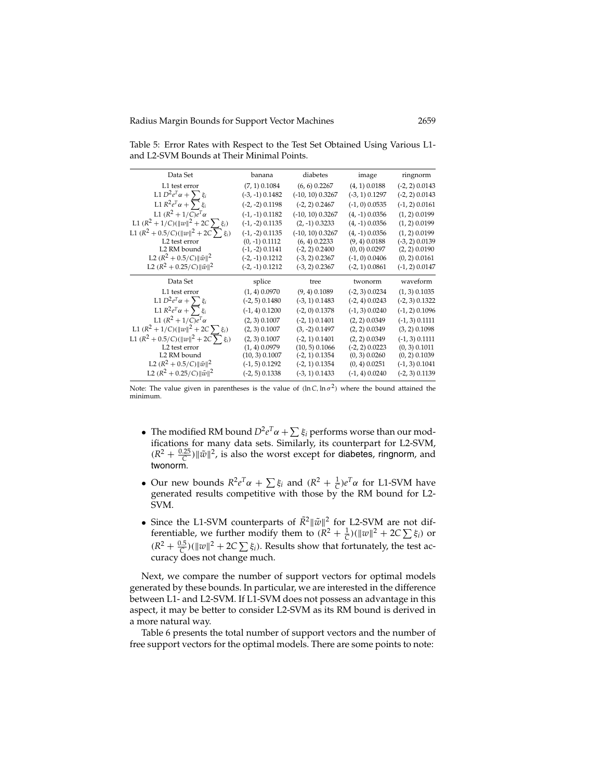| Data Set                                    | banana            | diabetes           | image            | ringnorm         |
|---------------------------------------------|-------------------|--------------------|------------------|------------------|
| L1 test error                               | $(7, 1)$ 0.1084   | $(6, 6)$ 0.2267    | $(4, 1)$ 0.0188  | $(-2, 2)$ 0.0143 |
| L1 $D^2e^T\alpha + \sum \xi_i$              | $(-3, -1)$ 0.1482 | $(-10, 10)$ 0.3267 | $(-3, 1)$ 0.1297 | $(-2, 2)$ 0.0143 |
| L1 $R^2e^T\alpha + \sum \xi_i$              | $(-2, -2)$ 0.1198 | $(-2, 2)$ 0.2467   | $(-1, 0)$ 0.0535 | $(-1, 2)$ 0.0161 |
| L1 $(R^2 + 1/C)e^{T_{\alpha}}$              | $(-1, -1)$ 0.1182 | $(-10, 10)$ 0.3267 | $(4, -1)$ 0.0356 | $(1, 2)$ 0.0199  |
| L1 $(R^2 + 1/C)(  w  ^2 + 2C \sum \xi_i)$   | $(-1, -2)$ 0.1135 | $(2, -1)$ 0.3233   | $(4, -1)$ 0.0356 | $(1, 2)$ 0.0199  |
| L1 $(R^2 + 0.5/C)(  w  ^2 + 2C \sum \xi_i)$ | $(-1, -2)$ 0.1135 | $(-10, 10)$ 0.3267 | $(4, -1)$ 0.0356 | $(1, 2)$ 0.0199  |
| L2 test error                               | $(0, -1)$ 0.1112  | $(6, 4)$ 0.2233    | $(9, 4)$ 0.0188  | $(-3, 2)$ 0.0139 |
| L2 RM bound                                 | $(-1, -2)$ 0.1141 | $(-2, 2)$ 0.2400   | $(0, 0)$ 0.0297  | $(2, 2)$ 0.0190  |
| L2 $(R^2 + 0.5/C)   \tilde{w}  ^2$          | $(-2, -1)$ 0.1212 | $(-3, 2)$ 0.2367   | $(-1, 0)$ 0.0406 | $(0, 2)$ 0.0161  |
| L2 $(R^2 + 0.25/C)   \tilde{w}  ^2$         | $(-2, -1)$ 0.1212 | $(-3, 2)$ 0.2367   | $(-2, 1)$ 0.0861 | $(-1, 2)$ 0.0147 |
| Data Set                                    | splice            | tree               | twonorm          | waveform         |
| L1 test error                               | $(1, 4)$ 0.0970   | $(9, 4)$ 0.1089    | $(-2, 3)$ 0.0234 | $(1, 3)$ 0.1035  |
| L1 $D^2e^T\alpha + \sum \xi_i$              | $(-2, 5)$ 0.1480  | $(-3, 1)$ 0.1483   | $(-2, 4)$ 0.0243 | $(-2, 3)$ 0.1322 |
| L1 $R^2e^T\alpha + \sum \xi_i$              | $(-1, 4)$ 0.1200  | $(-2, 0)$ 0.1378   | $(-1, 3)$ 0.0240 | $(-1, 2)$ 0.1096 |
| L1 $(R^2 + 1/C)e^{T_{\alpha}}$              | $(2, 3)$ 0.1007   | $(-2, 1)$ 0.1401   | $(2, 2)$ 0.0349  | $(-1, 3)$ 0.1111 |
| L1 $(R^2 + 1/C)(  w  ^2 + 2C \sum \xi_i)$   | $(2, 3)$ 0.1007   | $(3, -2)$ 0.1497   | $(2, 2)$ 0.0349  | $(3, 2)$ 0.1098  |
| L1 $(R^2 + 0.5/C)(  w  ^2 + 2C\sum \xi_i)$  | $(2, 3)$ 0.1007   | $(-2, 1)$ 0.1401   | $(2, 2)$ 0.0349  | $(-1, 3)$ 0.1111 |
| L2 test error                               | $(1, 4)$ 0.0979   | $(10, 5)$ 0.1066   | $(-2, 2)$ 0.0223 | $(0, 3)$ 0.1011  |
| L2 RM bound                                 | $(10, 3)$ 0.1007  | $(-2, 1)$ 0.1354   | $(0, 3)$ 0.0260  | $(0, 2)$ 0.1039  |
| L2 $(R^2 + 0.5/C)   \tilde{w}  ^2$          | $(-1, 5)$ 0.1292  | $(-2, 1)$ 0.1354   | $(0, 4)$ 0.0251  | $(-1, 3)$ 0.1041 |
| L2 $(R^2 + 0.25/C)   \tilde{w}  ^2$         | $(-2, 5)$ 0.1338  | $(-3, 1)$ 0.1433   | $(-1, 4)$ 0.0240 | $(-2, 3)$ 0.1139 |
|                                             |                   |                    |                  |                  |

Table 5: Error Rates with Respect to the Test Set Obtained Using Various L1 and L2-SVM Bounds at Their Minimal Points.

Note: The value given in parentheses is the value of  $(\ln C, \ln \sigma^2)$  where the bound attained the minimum.

- The modified RM bound  $D^2e^T\alpha + \sum \xi_i$  performs worse than our modifications for many data sets. Similarly, its counterpart for L2-SVM,  $(R^2 + \frac{0.25}{C}) ||\tilde{w}||^2$ , is also the worst except for diabetes, ringnorm, and twonorm.
- Our new bounds  $R^2e^T\alpha + \sum \xi_i$  and  $(R^2 + \frac{1}{C})e^T\alpha$  for L1-SVM have generated results competitive with those by the RM bound for L2- SVM.
- Since the L1-SVM counterparts of  $\tilde{R}^2 ||\tilde{w}||^2$  for L2-SVM are not differentiable, we further modify them to  $(R^2 + \frac{1}{C})(\|w\|^2 + 2C \sum \xi_i)$  or  $(R^2 + \frac{0.5}{C})(\|w\|^2 + 2C \sum \xi_i)$ . Results show that fortunately, the test accuracy does not change much.

Next, we compare the number of support vectors for optimal models generated by these bounds. In particular, we are interested in the difference between L1- and L2-SVM. If L1-SVM does not possess an advantage in this aspect, it may be better to consider L2-SVM as its RM bound is derived in a more natural way.

Table 6 presents the total number of support vectors and the number of free support vectors for the optimal models. There are some points to note: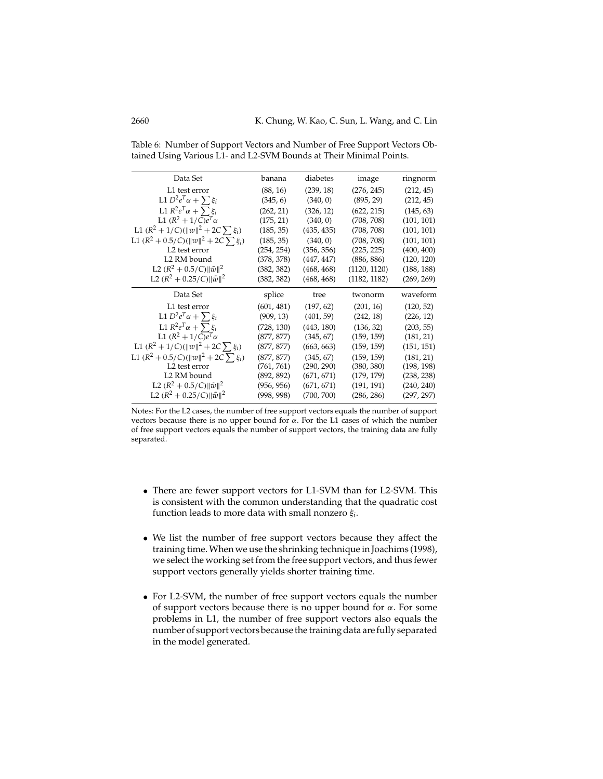| Data Set                                                                  | banana     | diabetes   | image        | ringnorm   |
|---------------------------------------------------------------------------|------------|------------|--------------|------------|
| L1 test error                                                             | (88, 16)   | (239, 18)  | (276, 245)   | (212, 45)  |
| L1 $D^2e^T\alpha + \sum \xi_i$                                            | (345, 6)   | (340, 0)   | (895, 29)    | (212, 45)  |
| L1 $R^2e^T\alpha + \sum \xi_i$                                            | (262, 21)  | (326, 12)  | (622, 215)   | (145, 63)  |
| L1 $(R^2 + 1/C)e^{T_{\alpha}}$                                            | (175, 21)  | (340, 0)   | (708, 708)   | (101, 101) |
| L1 $(R^2 + 1/C)(  w  ^2 + 2C \sum \xi_i)$                                 | (185, 35)  | (435, 435) | (708, 708)   | (101, 101) |
| L1 $(R^2 + 0.5/C)(  w  ^2 + 2C \sum \xi_i)$                               | (185, 35)  | (340, 0)   | (708, 708)   | (101, 101) |
| L <sub>2</sub> test error                                                 | (254, 254) | (356, 356) | (225, 225)   | (400, 400) |
| L2 RM bound                                                               | (378, 378) | (447, 447) | (886, 886)   | (120, 120) |
| L2 $(R^2 + 0.5/C)   \tilde{w}  ^2$                                        | (382, 382) | (468, 468) | (1120, 1120) | (188, 188) |
| L2 $(R^2 + 0.25/C)    \tilde{w}   ^2$                                     | (382, 382) | (468, 468) | (1182, 1182) | (269, 269) |
|                                                                           |            |            |              |            |
| Data Set                                                                  | splice     | tree       | twonorm      | waveform   |
| L1 test error                                                             | (601, 481) | (197, 62)  | (201, 16)    | (120, 52)  |
| L1 $D^2e^T\alpha + \sum \xi_i$                                            | (909, 13)  | (401, 59)  | (242, 18)    | (226, 12)  |
| L1 $R^2e^T\alpha + \sum \xi_i$                                            | (728, 130) | (443, 180) | (136, 32)    | (203, 55)  |
| L1 $(R^2 + 1/C)e^{T_{\alpha}}$                                            | (877, 877) | (345, 67)  | (159, 159)   | (181, 21)  |
| L1 $(R^2 + 1/C)(  w  ^2 + 2C \sum \xi_i)$                                 | (877, 877) | (663, 663) | (159, 159)   | (151, 151) |
| L1 $(R^2 + 0.5/C)(  w  ^2 + 2C \sum \xi_i)$                               | (877, 877) | (345, 67)  | (159, 159)   | (181, 21)  |
| L <sub>2</sub> test error                                                 | (761, 761) | (290, 290) | (380, 380)   | (198, 198) |
| L2 RM bound                                                               | (892, 892) | (671, 671) | (179, 179)   | (238, 238) |
| L2 $(R^2 + 0.5/C)   \tilde{w}  ^2$<br>L2 $(R^2 + 0.25/C)   \tilde{w}  ^2$ | (956, 956) | (671, 671) | (191, 191)   | (240, 240) |

Table 6: Number of Support Vectors and Number of Free Support Vectors Obtained Using Various L1- and L2-SVM Bounds at Their Minimal Points.

Notes: For the L2 cases, the number of free support vectors equals the number of support vectors because there is no upper bound for  $\alpha$ . For the L1 cases of which the number of free support vectors equals the number of support vectors, the training data are fully separated.

- There are fewer support vectors for L1-SVM than for L2-SVM. This is consistent with the common understanding that the quadratic cost function leads to more data with small nonzero ξ*i*.
- We list the number of free support vectors because they affect the training time. When we use the shrinking technique in Joachims (1998), we select the working set from the free support vectors, and thus fewer support vectors generally yields shorter training time.
- For L2-SVM, the number of free support vectors equals the number of support vectors because there is no upper bound for  $\alpha$ . For some problems in L1, the number of free support vectors also equals the number of support vectors because the training data are fully separated in the model generated.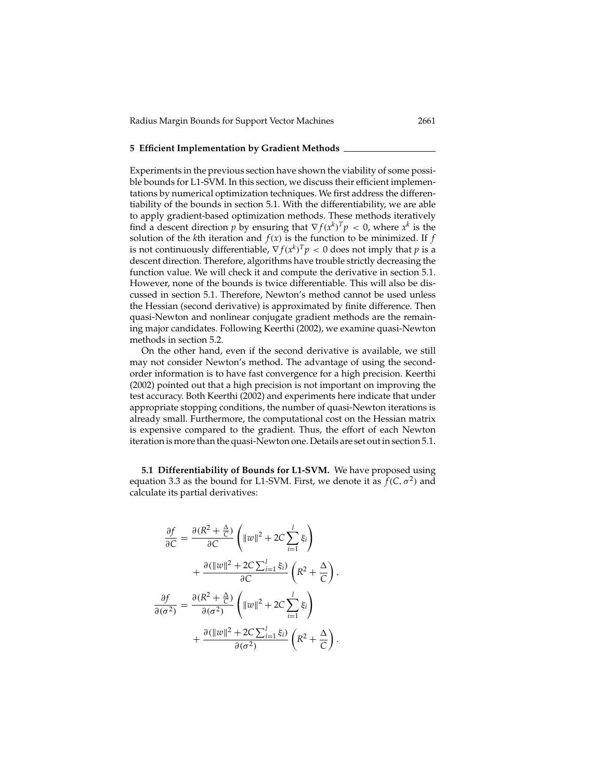#### **5 Efficient Implementation by Gradient Methods**

Experiments in the previous section have shown the viability of some possible bounds for L1-SVM. In this section, we discuss their efficient implementations by numerical optimization techniques. We first address the differentiability of the bounds in section 5.1. With the differentiability, we are able to apply gradient-based optimization methods. These methods iteratively find a descent direction *p* by ensuring that  $\nabla f(x^k)^T p < 0$ , where  $x^k$  is the solution of the *k*th iteration and  $f(x)$  is the function to be minimized. If  $f$ is not continuously differentiable,  $\nabla f(x^k)^T p < 0$  does not imply that *p* is a descent direction. Therefore, algorithms have trouble strictly decreasing the function value. We will check it and compute the derivative in section 5.1. However, none of the bounds is twice differentiable. This will also be discussed in section 5.1. Therefore, Newton's method cannot be used unless the Hessian (second derivative) is approximated by finite difference. Then quasi-Newton and nonlinear conjugate gradient methods are the remaining major candidates. Following Keerthi (2002), we examine quasi-Newton methods in section 5.2.

On the other hand, even if the second derivative is available, we still may not consider Newton's method. The advantage of using the secondorder information is to have fast convergence for a high precision. Keerthi (2002) pointed out that a high precision is not important on improving the test accuracy. Both Keerthi (2002) and experiments here indicate that under appropriate stopping conditions, the number of quasi-Newton iterations is already small. Furthermore, the computational cost on the Hessian matrix is expensive compared to the gradient. Thus, the effort of each Newton iteration is more than the quasi-Newton one. Details are set out in section 5.1.

**5.1 Differentiability of Bounds for L1-SVM.** We have proposed using equation 3.3 as the bound for L1-SVM. First, we denote it as  $f(C, \sigma^2)$  and calculate its partial derivatives:

$$
\frac{\partial f}{\partial C} = \frac{\partial (R^2 + \frac{\Delta}{C})}{\partial C} \left( \|w\|^2 + 2C \sum_{i=1}^l \xi_i \right)
$$

$$
+ \frac{\partial (\|w\|^2 + 2C \sum_{i=1}^l \xi_i)}{\partial C} \left( R^2 + \frac{\Delta}{C} \right),
$$

$$
\frac{\partial f}{\partial(\sigma^2)} = \frac{\partial (R^2 + \frac{\Delta}{C})}{\partial(\sigma^2)} \left( \|w\|^2 + 2C \sum_{i=1}^l \xi_i \right)
$$

$$
+ \frac{\partial (\|w\|^2 + 2C \sum_{i=1}^l \xi_i)}{\partial(\sigma^2)} \left( R^2 + \frac{\Delta}{C} \right).
$$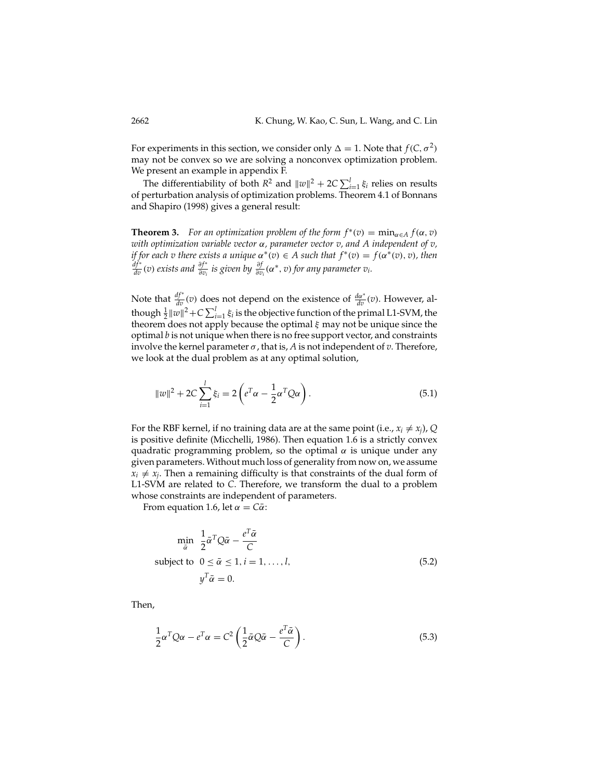For experiments in this section, we consider only  $\Delta = 1$ . Note that  $f(C, \sigma^2)$ may not be convex so we are solving a nonconvex optimization problem. We present an example in appendix F.

The differentiability of both  $R^2$  and  $\|w\|^2 + 2C \sum_{i=1}^{l} \xi_i$  relies on results of perturbation analysis of optimization problems. Theorem 4.1 of Bonnans and Shapiro (1998) gives a general result:

**Theorem 3.** *For an optimization problem of the form*  $f^*(v) = \min_{\alpha \in A} f(\alpha, v)$ *with optimization variable vector* α*, parameter vector v, and A independent of v, if for each v there exists a unique*  $\alpha^*(v) \in A$  *such that*  $f^*(v) = f(\alpha^*(v), v)$ *, then*  $\frac{df^*}{dv}(v)$  *exists and*  $\frac{\partial f^*}{\partial v_i}$  *is given by*  $\frac{\partial f}{\partial v_i}(\alpha^*, v)$  *for any parameter*  $v_i$ *.* 

Note that  $\frac{df^*}{dv}(v)$  does not depend on the existence of  $\frac{da^*}{dv}(v)$ . However, although  $\frac{1}{2}||w||^2 + C \sum_{i=1}^{l} \xi_i$  is the objective function of the primal L1-SVM, the theorem does not apply because the optimal  $\xi$  may not be unique since the optimal *b* is not unique when there is no free support vector, and constraints involve the kernel parameter  $\sigma$ , that is, A is not independent of *v*. Therefore, we look at the dual problem as at any optimal solution,

$$
||w||^{2} + 2C\sum_{i=1}^{l} \xi_{i} = 2\left(e^{T}\alpha - \frac{1}{2}\alpha^{T}Q\alpha\right).
$$
\n(5.1)

For the RBF kernel, if no training data are at the same point (i.e.,  $x_i \neq x_j$ ), *Q* is positive definite (Micchelli, 1986). Then equation 1.6 is a strictly convex quadratic programming problem, so the optimal  $\alpha$  is unique under any given parameters. Without much loss of generality from now on, we assume  $x_i \neq x_j$ . Then a remaining difficulty is that constraints of the dual form of L1-SVM are related to *C*. Therefore, we transform the dual to a problem whose constraints are independent of parameters.

From equation 1.6, let  $\alpha = C\overline{\alpha}$ :

$$
\min_{\bar{\alpha}} \frac{1}{2} \bar{\alpha}^T Q \bar{\alpha} - \frac{e^T \bar{\alpha}}{C}
$$
\nsubject to  $0 \le \bar{\alpha} \le 1, i = 1, ..., l,$   
\n
$$
y^T \bar{\alpha} = 0.
$$
\n(5.2)

Then,

$$
\frac{1}{2}\alpha^T Q \alpha - e^T \alpha = C^2 \left(\frac{1}{2}\bar{\alpha}Q\bar{\alpha} - \frac{e^T \bar{\alpha}}{C}\right).
$$
\n(5.3)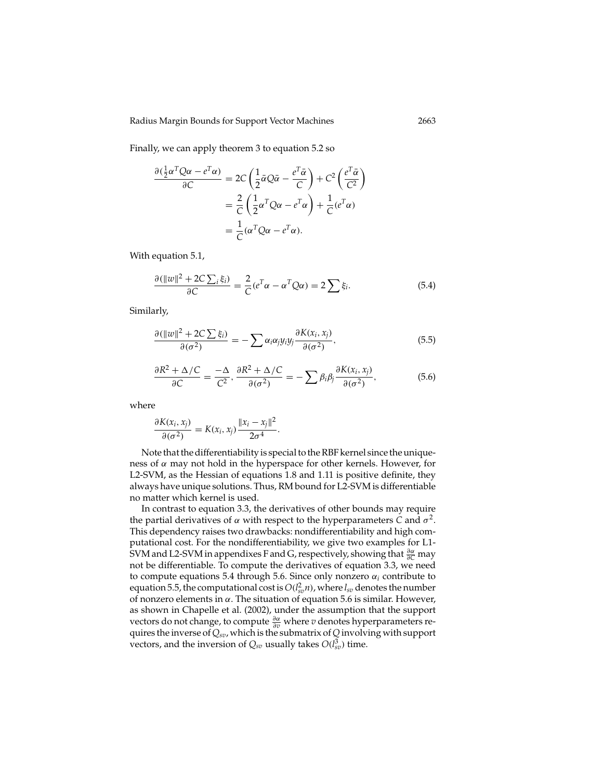Finally, we can apply theorem 3 to equation 5.2 so

$$
\frac{\partial(\frac{1}{2}\alpha^T Q\alpha - e^T \alpha)}{\partial C} = 2C\left(\frac{1}{2}\bar{\alpha}Q\bar{\alpha} - \frac{e^T \bar{\alpha}}{C}\right) + C^2\left(\frac{e^T \bar{\alpha}}{C^2}\right)
$$

$$
= \frac{2}{C}\left(\frac{1}{2}\alpha^T Q\alpha - e^T \alpha\right) + \frac{1}{C}(e^T \alpha)
$$

$$
= \frac{1}{C}(\alpha^T Q\alpha - e^T \alpha).
$$

With equation 5.1,

$$
\frac{\partial (\|w\|^2 + 2C \sum_i \xi_i)}{\partial C} = \frac{2}{C} (e^T \alpha - \alpha^T Q \alpha) = 2 \sum_i \xi_i.
$$
 (5.4)

Similarly,

$$
\frac{\partial (\|w\|^2 + 2C\sum \xi_i)}{\partial(\sigma^2)} = -\sum \alpha_i \alpha_j y_i y_j \frac{\partial K(x_i, x_j)}{\partial(\sigma^2)},
$$
\n(5.5)

$$
\frac{\partial R^2 + \Delta/C}{\partial C} = \frac{-\Delta}{C^2}, \frac{\partial R^2 + \Delta/C}{\partial (\sigma^2)} = -\sum \beta_i \beta_j \frac{\partial K(x_i, x_j)}{\partial (\sigma^2)},
$$
(5.6)

where

$$
\frac{\partial K(x_i, x_j)}{\partial(\sigma^2)} = K(x_i, x_j) \frac{\|x_i - x_j\|^2}{2\sigma^4}.
$$

Note that the differentiability is special to the RBF kernel since the uniqueness of  $\alpha$  may not hold in the hyperspace for other kernels. However, for L2-SVM, as the Hessian of equations 1.8 and 1.11 is positive definite, they always have unique solutions. Thus, RM bound for L2-SVM is differentiable no matter which kernel is used.

In contrast to equation 3.3, the derivatives of other bounds may require the partial derivatives of  $\alpha$  with respect to the hyperparameters *C* and  $\sigma^2$ . This dependency raises two drawbacks: nondifferentiability and high computational cost. For the nondifferentiability, we give two examples for L1- SVM and L2-SVM in appendixes F and G, respectively, showing that  $\frac{\partial \alpha}{\partial C}$  may not be differentiable. To compute the derivatives of equation 3.3, we need to compute equations 5.4 through 5.6. Since only nonzero  $\alpha_i$  contribute to equation 5.5, the computational cost is  $O(l_{sv}^2 n)$ , where  $l_{sv}$  denotes the number of nonzero elements in α. The situation of equation 5.6 is similar. However, as shown in Chapelle et al. (2002), under the assumption that the support vectors do not change, to compute ∂α <sup>∂</sup>*<sup>v</sup>* where *v* denotes hyperparameters requires the inverse of *Qsv*, which is the submatrix of *Q* involving with support vectors, and the inversion of  $Q_{sv}$  usually takes  $O(l_{sv}^3)$  time.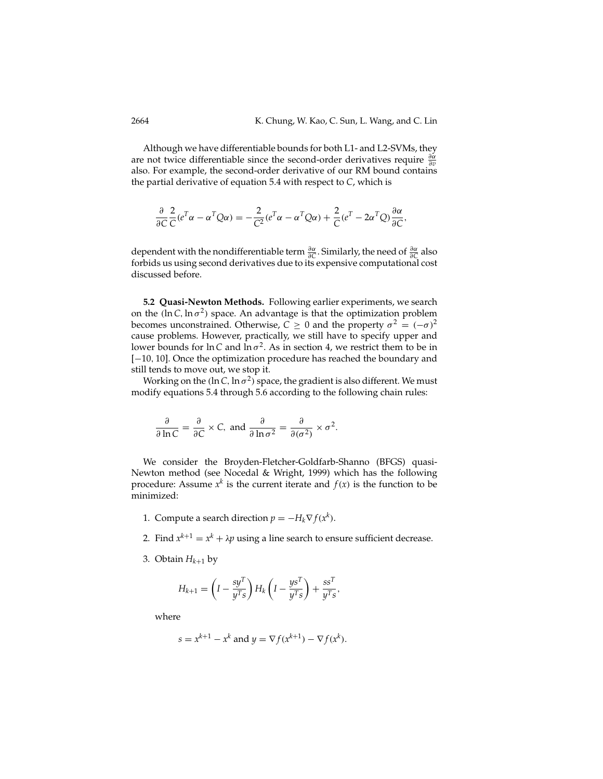Although we have differentiable bounds for both L1- and L2-SVMs, they are not twice differentiable since the second-order derivatives require  $\frac{\partial \alpha}{\partial v}$ also. For example, the second-order derivative of our RM bound contains the partial derivative of equation 5.4 with respect to *C*, which is

$$
\frac{\partial}{\partial C}\frac{2}{C}(e^T\alpha - \alpha^T Q\alpha) = -\frac{2}{C^2}(e^T\alpha - \alpha^T Q\alpha) + \frac{2}{C}(e^T - 2\alpha^T Q)\frac{\partial \alpha}{\partial C},
$$

dependent with the nondifferentiable term  $\frac{\partial \alpha}{\partial C}$ . Similarly, the need of  $\frac{\partial \alpha}{\partial C}$  also forbids us using second derivatives due to its expensive computational cost discussed before.

**5.2 Quasi-Newton Methods.** Following earlier experiments, we search on the (ln C, ln  $\sigma^2$ ) space. An advantage is that the optimization problem becomes unconstrained. Otherwise,  $C \ge 0$  and the property  $\sigma^2 = (-\sigma)^2$ cause problems. However, practically, we still have to specify upper and lower bounds for  $\ln C$  and  $\ln \sigma^2$ . As in section 4, we restrict them to be in [−10, 10]. Once the optimization procedure has reached the boundary and still tends to move out, we stop it.

Working on the (ln C, ln  $\sigma^2$ ) space, the gradient is also different. We must modify equations 5.4 through 5.6 according to the following chain rules:

$$
\frac{\partial}{\partial \ln C} = \frac{\partial}{\partial C} \times C, \text{ and } \frac{\partial}{\partial \ln \sigma^2} = \frac{\partial}{\partial (\sigma^2)} \times \sigma^2.
$$

We consider the Broyden-Fletcher-Goldfarb-Shanno (BFGS) quasi-Newton method (see Nocedal & Wright, 1999) which has the following procedure: Assume  $x^k$  is the current iterate and  $f(x)$  is the function to be minimized:

- 1. Compute a search direction  $p = -H_k \nabla f(x^k)$ .
- 2. Find  $x^{k+1} = x^k + \lambda p$  using a line search to ensure sufficient decrease.
- 3. Obtain  $H_{k+1}$  by

$$
H_{k+1} = \left(I - \frac{sy^T}{y^T s}\right) H_k \left(I - \frac{ys^T}{y^T s}\right) + \frac{ss^T}{y^T s},
$$

where

$$
s = x^{k+1} - x^k
$$
 and  $y = \nabla f(x^{k+1}) - \nabla f(x^k)$ .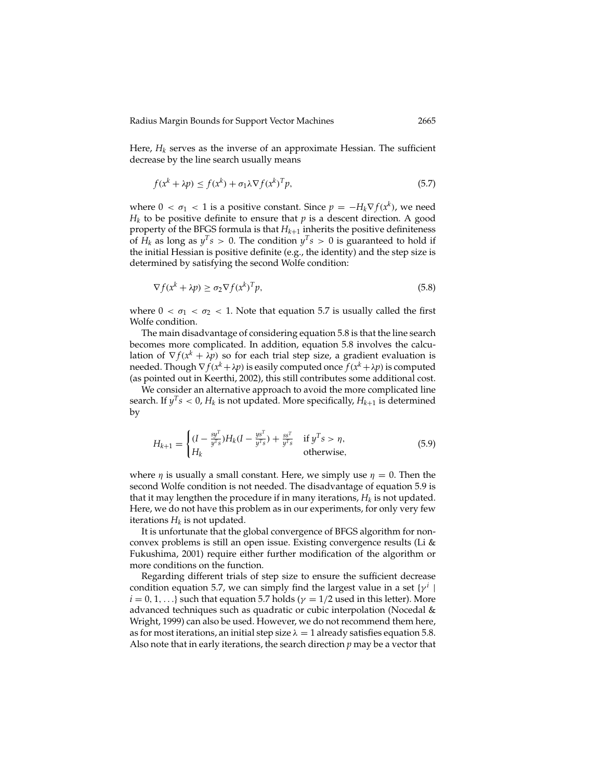Here,  $H_k$  serves as the inverse of an approximate Hessian. The sufficient decrease by the line search usually means

$$
f(x^{k} + \lambda p) \le f(x^{k}) + \sigma_1 \lambda \nabla f(x^{k})^T p,
$$
\n(5.7)

where  $0 < \sigma_1 < 1$  is a positive constant. Since  $p = -H_k \nabla f(x^k)$ , we need  $H_k$  to be positive definite to ensure that  $p$  is a descent direction. A good property of the BFGS formula is that  $H_{k+1}$  inherits the positive definiteness of  $H_k$  as long as  $y^T s > 0$ . The condition  $y^T s > 0$  is guaranteed to hold if the initial Hessian is positive definite (e.g., the identity) and the step size is determined by satisfying the second Wolfe condition:

$$
\nabla f(x^k + \lambda p) \ge \sigma_2 \nabla f(x^k)^T p,\tag{5.8}
$$

where  $0 < \sigma_1 < \sigma_2 < 1$ . Note that equation 5.7 is usually called the first Wolfe condition.

The main disadvantage of considering equation 5.8 is that the line search becomes more complicated. In addition, equation 5.8 involves the calculation of  $\nabla f(x^k + \lambda p)$  so for each trial step size, a gradient evaluation is needed. Though  $\nabla f(x^k + \lambda p)$  is easily computed once  $f(x^k + \lambda p)$  is computed (as pointed out in Keerthi, 2002), this still contributes some additional cost.

We consider an alternative approach to avoid the more complicated line search. If  $y^T s < 0$ ,  $H_k$  is not updated. More specifically,  $H_{k+1}$  is determined by

$$
H_{k+1} = \begin{cases} (I - \frac{sy^{T}}{y^{T}s})H_{k}(I - \frac{ys^{T}}{y^{T}s}) + \frac{ss^{T}}{y^{T}s} & \text{if } y^{T}s > \eta, \\ H_{k} & \text{otherwise,} \end{cases}
$$
(5.9)

where  $\eta$  is usually a small constant. Here, we simply use  $\eta = 0$ . Then the second Wolfe condition is not needed. The disadvantage of equation 5.9 is that it may lengthen the procedure if in many iterations,  $H_k$  is not updated. Here, we do not have this problem as in our experiments, for only very few iterations  $H_k$  is not updated.

It is unfortunate that the global convergence of BFGS algorithm for nonconvex problems is still an open issue. Existing convergence results (Li & Fukushima, 2001) require either further modification of the algorithm or more conditions on the function.

Regarding different trials of step size to ensure the sufficient decrease condition equation 5.7, we can simply find the largest value in a set  $\{y^i\}$  $i = 0, 1, \ldots$ } such that equation 5.7 holds ( $\gamma = 1/2$  used in this letter). More advanced techniques such as quadratic or cubic interpolation (Nocedal & Wright, 1999) can also be used. However, we do not recommend them here, as for most iterations, an initial step size  $\lambda = 1$  already satisfies equation 5.8. Also note that in early iterations, the search direction *p* may be a vector that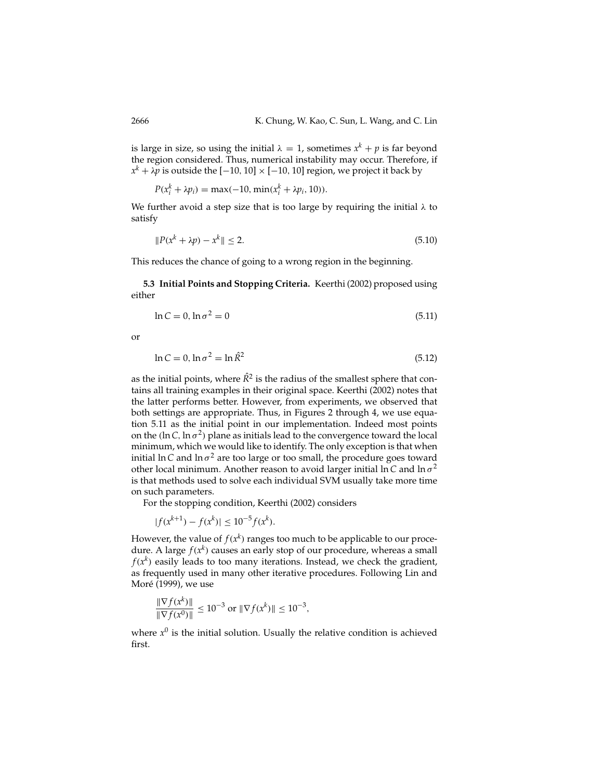is large in size, so using the initial  $\lambda = 1$ , sometimes  $x^{k} + p$  is far beyond the region considered. Thus, numerical instability may occur. Therefore, if  $x<sup>k</sup> + \lambda p$  is outside the [−10, 10] × [−10, 10] region, we project it back by

$$
P(x_i^k + \lambda p_i) = \max(-10, \min(x_i^k + \lambda p_i, 10)).
$$

We further avoid a step size that is too large by requiring the initial  $\lambda$  to satisfy

$$
||P(x^k + \lambda p) - x^k|| \le 2. \tag{5.10}
$$

This reduces the chance of going to a wrong region in the beginning.

**5.3 Initial Points and Stopping Criteria.** Keerthi (2002) proposed using either

$$
\ln C = 0, \ln \sigma^2 = 0 \tag{5.11}
$$

or

$$
\ln C = 0, \ln \sigma^2 = \ln \hat{R}^2 \tag{5.12}
$$

as the initial points, where  $\hat{R}^2$  is the radius of the smallest sphere that contains all training examples in their original space. Keerthi (2002) notes that the latter performs better. However, from experiments, we observed that both settings are appropriate. Thus, in Figures 2 through 4, we use equation 5.11 as the initial point in our implementation. Indeed most points on the (ln C, ln  $\sigma^2$ ) plane as initials lead to the convergence toward the local minimum, which we would like to identify. The only exception is that when initial ln C and ln  $\sigma^2$  are too large or too small, the procedure goes toward other local minimum. Another reason to avoid larger initial ln *C* and ln  $\sigma^2$ is that methods used to solve each individual SVM usually take more time on such parameters.

For the stopping condition, Keerthi (2002) considers

$$
|f(x^{k+1}) - f(x^k)| \le 10^{-5} f(x^k).
$$

However, the value of  $f(x^k)$  ranges too much to be applicable to our procedure. A large  $f(x^k)$  causes an early stop of our procedure, whereas a small  $f(x^k)$  easily leads to too many iterations. Instead, we check the gradient, as frequently used in many other iterative procedures. Following Lin and Moré (1999), we use

$$
\frac{\|\nabla f(x^k)\|}{\|\nabla f(x^0)\|} \le 10^{-3} \text{ or } \|\nabla f(x^k)\| \le 10^{-3},
$$

where  $x^0$  is the initial solution. Usually the relative condition is achieved first.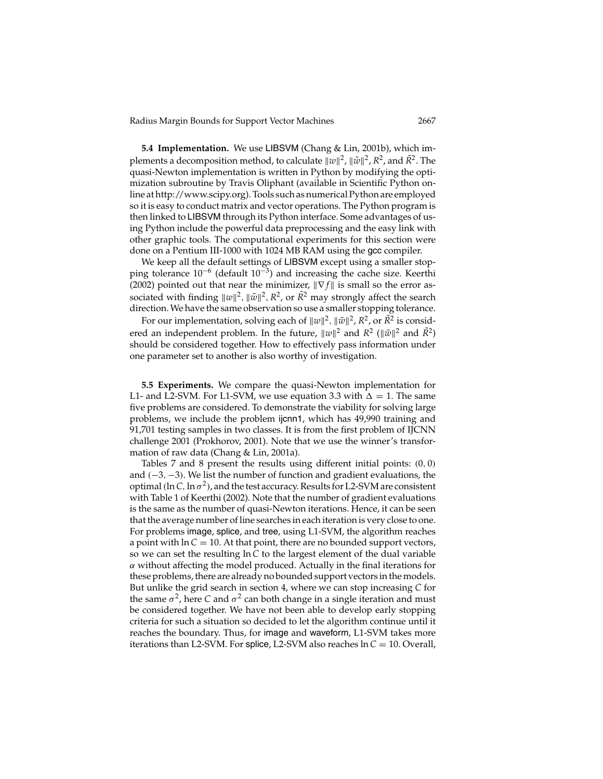**5.4 Implementation.** We use LIBSVM (Chang & Lin, 2001b), which implements a decomposition method, to calculate  $\Vert w \Vert^2$ ,  $\Vert \tilde{w} \Vert^2$ ,  $R^2$ , and  $\tilde{R}^2$ . The quasi-Newton implementation is written in Python by modifying the optimization subroutine by Travis Oliphant (available in Scientific Python online at http://www.scipy.org). Tools such as numerical Python are employed so it is easy to conduct matrix and vector operations. The Python program is then linked to LIBSVM through its Python interface. Some advantages of using Python include the powerful data preprocessing and the easy link with other graphic tools. The computational experiments for this section were done on a Pentium III-1000 with 1024 MB RAM using the gcc compiler.

We keep all the default settings of LIBSVM except using a smaller stopping tolerance  $10^{-6}$  (default  $10^{-3}$ ) and increasing the cache size. Keerthi (2002) pointed out that near the minimizer,  $\|\nabla f\|$  is small so the error associated with finding  $\|w\|^2$ ,  $\|\tilde{w}\|^2$ ,  $R^2$ , or  $\tilde{R}^2$  may strongly affect the search direction. We have the same observation so use a smaller stopping tolerance.

For our implementation, solving each of  $\Vert w \Vert^2$ ,  $\Vert \tilde{w} \Vert^2$ ,  $R^2$ , or  $\tilde{R}^2$  is considered an independent problem. In the future,  $\|w\|^2$  and  $\bar{R}^2$  ( $\|\tilde{w}\|^2$  and  $\bar{R}^2$ ) should be considered together. How to effectively pass information under one parameter set to another is also worthy of investigation.

**5.5 Experiments.** We compare the quasi-Newton implementation for L1- and L2-SVM. For L1-SVM, we use equation 3.3 with  $\Delta = 1$ . The same five problems are considered. To demonstrate the viability for solving large problems, we include the problem ijcnn1, which has 49,990 training and 91,701 testing samples in two classes. It is from the first problem of IJCNN challenge 2001 (Prokhorov, 2001). Note that we use the winner's transformation of raw data (Chang & Lin, 2001a).

Tables 7 and 8 present the results using different initial points: (0, 0) and (−3, −3). We list the number of function and gradient evaluations, the optimal (ln C, ln  $\sigma^2$ ), and the test accuracy. Results for L2-SVM are consistent with Table 1 of Keerthi (2002). Note that the number of gradient evaluations is the same as the number of quasi-Newton iterations. Hence, it can be seen that the average number of line searches in each iteration is very close to one. For problems image, splice, and tree, using L1-SVM, the algorithm reaches a point with  $ln C = 10$ . At that point, there are no bounded support vectors, so we can set the resulting ln *C* to the largest element of the dual variable  $\alpha$  without affecting the model produced. Actually in the final iterations for these problems, there are already no bounded support vectors in the models. But unlike the grid search in section 4, where we can stop increasing *C* for the same  $\sigma^2$ , here *C* and  $\sigma^2$  can both change in a single iteration and must be considered together. We have not been able to develop early stopping criteria for such a situation so decided to let the algorithm continue until it reaches the boundary. Thus, for image and waveform, L1-SVM takes more iterations than L2-SVM. For splice, L2-SVM also reaches ln *C* = 10. Overall,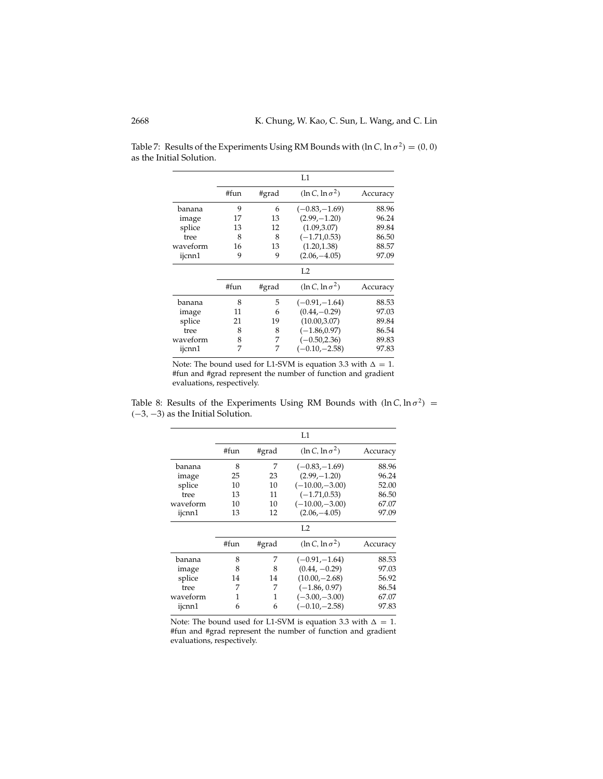|          |      |       | L1                      |          |
|----------|------|-------|-------------------------|----------|
|          | #fun | #grad | $(\ln C, \ln \sigma^2)$ | Accuracy |
| banana   | 9    | 6     | $(-0.83,-1.69)$         | 88.96    |
| image    | 17   | 13    | $(2.99,-1.20)$          | 96.24    |
| splice   | 13   | 12    | (1.09, 3.07)            | 89.84    |
| tree     | 8    | 8     | $(-1.71, 0.53)$         | 86.50    |
| waveform | 16   | 13    | (1.20, 1.38)            | 88.57    |
| ijcnn1   | 9    | 9     | $(2.06,-4.05)$          | 97.09    |
|          |      |       | L <sub>2</sub>          |          |
|          | #fun | #grad | $(\ln C, \ln \sigma^2)$ | Accuracy |
| banana   | 8    | 5     | $(-0.91,-1.64)$         | 88.53    |
| image    | 11   | 6     | $(0.44,-0.29)$          | 97.03    |
| splice   | 21   | 19    | (10.00, 3.07)           | 89.84    |
| tree     | 8    | 8     | $(-1.86, 0.97)$         | 86.54    |
| waveform | 8    | 7     | $(-0.50, 2.36)$         | 89.83    |
| ijcnn1   | 7    | 7     | $(-0.10,-2.58)$         | 97.83    |

Table 7: Results of the Experiments Using RM Bounds with  $(\ln C, \ln \sigma^2) = (0, 0)$ as the Initial Solution.

Note: The bound used for L1-SVM is equation 3.3 with  $\Delta = 1$ . #fun and #grad represent the number of function and gradient evaluations, respectively.

Table 8: Results of the Experiments Using RM Bounds with  $(\ln C, \ln \sigma^2)$  = (−3, −3) as the Initial Solution.

|          |      |       | L1                      |          |
|----------|------|-------|-------------------------|----------|
|          | #fun | #grad | $(\ln C, \ln \sigma^2)$ | Accuracy |
| banana   | 8    | 7     | $(-0.83,-1.69)$         | 88.96    |
| image    | 25   | 23    | $(2.99,-1.20)$          | 96.24    |
| splice   | 10   | 10    | $(-10.00,-3.00)$        | 52.00    |
| tree     | 13   | 11    | $(-1.71, 0.53)$         | 86.50    |
| waveform | 10   | 10    | $(-10.00,-3.00)$        | 67.07    |
| ijcnn1   | 13   | 12    | $(2.06,-4.05)$          | 97.09    |
|          |      |       | L2                      |          |
|          | #fun | #grad | $(\ln C, \ln \sigma^2)$ | Accuracy |
| banana   | 8    | 7     | $(-0.91,-1.64)$         | 88.53    |
| image    | 8    | 8     | $(0.44, -0.29)$         | 97.03    |
| splice   | 14   | 14    | $(10.00,-2.68)$         | 56.92    |
| tree     | 7    | 7     | $(-1.86, 0.97)$         | 86.54    |
| waveform | 1    | 1     | $(-3.00,-3.00)$         | 67.07    |
| ijcnn1   | 6    | 6     | $(-0.10,-2.58)$         | 97.83    |

Note: The bound used for L1-SVM is equation 3.3 with  $\Delta = 1$ . #fun and #grad represent the number of function and gradient evaluations, respectively.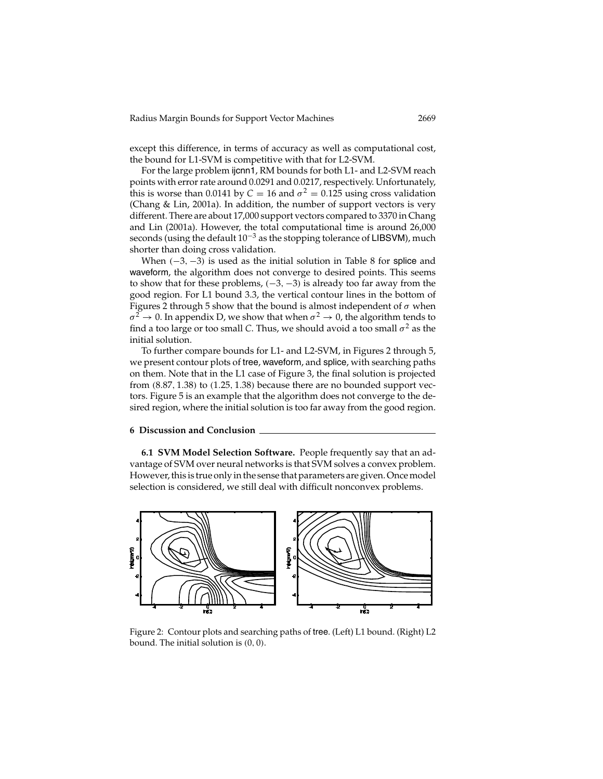except this difference, in terms of accuracy as well as computational cost, the bound for L1-SVM is competitive with that for L2-SVM.

For the large problem ijcnn1, RM bounds for both L1- and L2-SVM reach points with error rate around 0.0291 and 0.0217, respectively. Unfortunately, this is worse than 0.0141 by  $C = 16$  and  $\sigma^2 = 0.125$  using cross validation (Chang & Lin, 2001a). In addition, the number of support vectors is very different. There are about 17,000 support vectors compared to 3370 in Chang and Lin (2001a). However, the total computational time is around 26,000 seconds (using the default  $10^{-3}$  as the stopping tolerance of LIBSVM), much shorter than doing cross validation.

When  $(-3, -3)$  is used as the initial solution in Table 8 for splice and waveform, the algorithm does not converge to desired points. This seems to show that for these problems,  $(-3, -3)$  is already too far away from the good region. For L1 bound 3.3, the vertical contour lines in the bottom of Figures 2 through 5 show that the bound is almost independent of  $\sigma$  when  $\sigma^2 \to 0$ . In appendix D, we show that when  $\sigma^2 \to 0$ , the algorithm tends to find a too large or too small *C*. Thus, we should avoid a too small  $\sigma^2$  as the initial solution.

To further compare bounds for L1- and L2-SVM, in Figures 2 through 5, we present contour plots of tree, waveform, and splice, with searching paths on them. Note that in the L1 case of Figure 3, the final solution is projected from (8.87, 1.38) to (1.25, 1.38) because there are no bounded support vectors. Figure 5 is an example that the algorithm does not converge to the desired region, where the initial solution is too far away from the good region.

#### **6 Discussion and Conclusion**

**6.1 SVM Model Selection Software.** People frequently say that an advantage of SVM over neural networks is that SVM solves a convex problem. However, this is true only in the sense that parameters are given. Once model selection is considered, we still deal with difficult nonconvex problems.



Figure 2: Contour plots and searching paths of tree. (Left) L1 bound. (Right) L2 bound. The initial solution is (0, 0).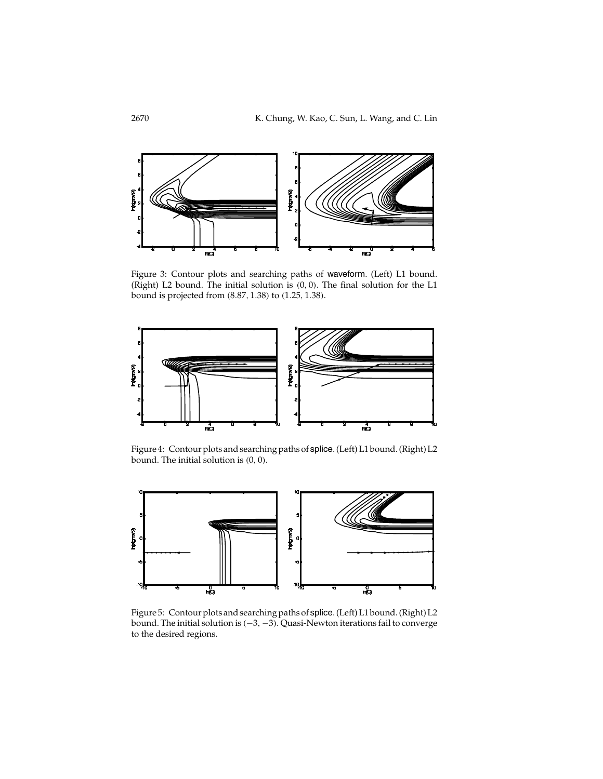

Figure 3: Contour plots and searching paths of waveform. (Left) L1 bound. (Right) L2 bound. The initial solution is (0, 0). The final solution for the L1 bound is projected from (8.87, 1.38) to (1.25, 1.38).



Figure 4: Contour plots and searching paths of splice. (Left) L1 bound. (Right) L2 bound. The initial solution is (0, 0).



Figure 5: Contour plots and searching paths of splice. (Left) L1 bound. (Right) L2 bound. The initial solution is (−3, −3). Quasi-Newton iterations fail to converge to the desired regions.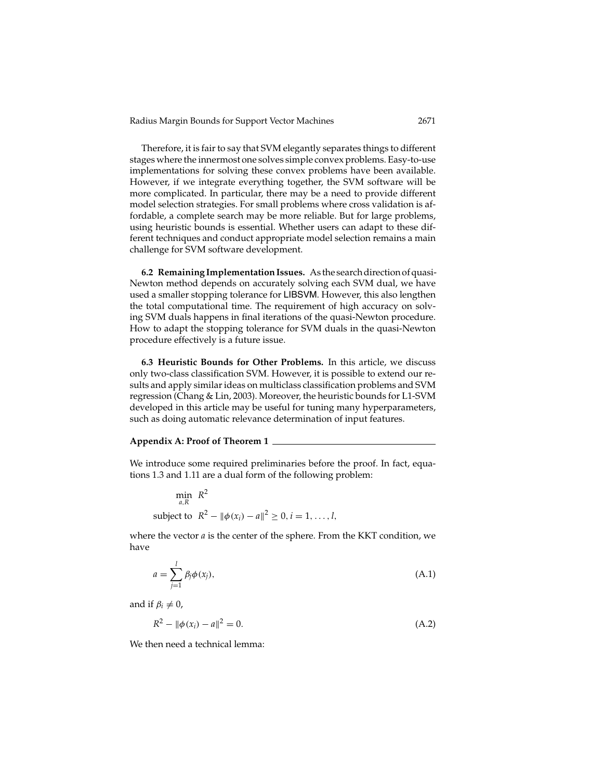Therefore, it is fair to say that SVM elegantly separates things to different stages where the innermost one solves simple convex problems. Easy-to-use implementations for solving these convex problems have been available. However, if we integrate everything together, the SVM software will be more complicated. In particular, there may be a need to provide different model selection strategies. For small problems where cross validation is affordable, a complete search may be more reliable. But for large problems, using heuristic bounds is essential. Whether users can adapt to these different techniques and conduct appropriate model selection remains a main challenge for SVM software development.

**6.2 Remaining Implementation Issues.** As the search direction of quasi-Newton method depends on accurately solving each SVM dual, we have used a smaller stopping tolerance for LIBSVM. However, this also lengthen the total computational time. The requirement of high accuracy on solving SVM duals happens in final iterations of the quasi-Newton procedure. How to adapt the stopping tolerance for SVM duals in the quasi-Newton procedure effectively is a future issue.

**6.3 Heuristic Bounds for Other Problems.** In this article, we discuss only two-class classification SVM. However, it is possible to extend our results and apply similar ideas on multiclass classification problems and SVM regression (Chang & Lin, 2003). Moreover, the heuristic bounds for L1-SVM developed in this article may be useful for tuning many hyperparameters, such as doing automatic relevance determination of input features.

### **Appendix A: Proof of Theorem 1**

We introduce some required preliminaries before the proof. In fact, equations 1.3 and 1.11 are a dual form of the following problem:

 $\min_{a,R} R^2$ subject to  $R^2 - ||\phi(x_i) - a||^2 \ge 0, i = 1, ..., l$ ,

where the vector *a* is the center of the sphere. From the KKT condition, we have

$$
a = \sum_{j=1}^{l} \beta_j \phi(x_j), \tag{A.1}
$$

and if  $\beta_i \neq 0$ ,

$$
R^2 - \|\phi(x_i) - a\|^2 = 0. \tag{A.2}
$$

We then need a technical lemma: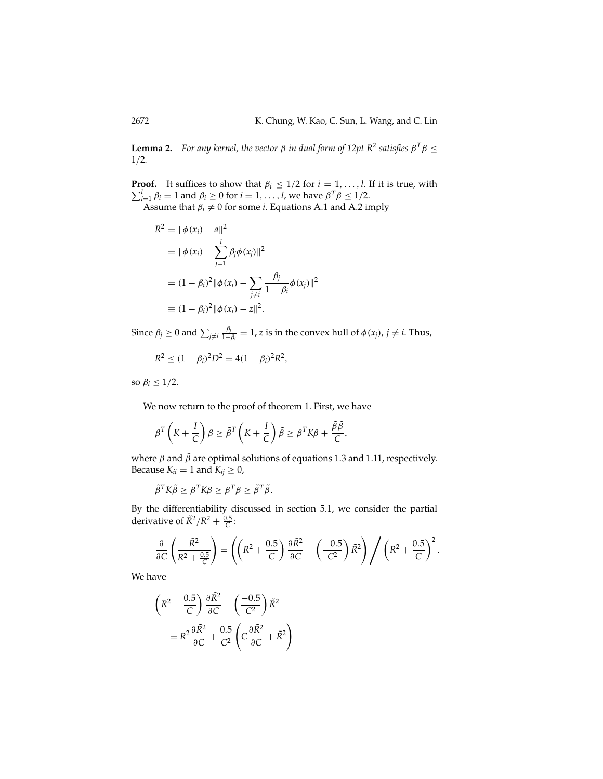**Lemma 2.** *For any kernel, the vector*  $\beta$  *in dual form of 12pt*  $R^2$  *satisfies*  $\beta^T \beta \leq$ 1/2*.*

Σ **Proof.** It suffices to show that  $\beta_i \leq 1/2$  for  $i = 1, ..., l$ . If it is true, with  $\sum_{i=1}^{l} \beta_i = 1$  and  $\beta_i \geq 0$  for  $i = 1, ..., l$ , we have  $\beta^T \beta \leq 1/2$ .

Assume that  $\beta_i \neq 0$  for some *i*. Equations A.1 and A.2 imply

$$
R^{2} = \|\phi(x_{i}) - a\|^{2}
$$
  
=  $\|\phi(x_{i}) - \sum_{j=1}^{l} \beta_{j} \phi(x_{j})\|^{2}$   
=  $(1 - \beta_{i})^{2} \|\phi(x_{i}) - \sum_{j \neq i} \frac{\beta_{j}}{1 - \beta_{i}} \phi(x_{j})\|^{2}$   
\equiv  $(1 - \beta_{i})^{2} \|\phi(x_{i}) - z\|^{2}$ .

Since  $\beta_j \geq 0$  and  $\sum_{j\neq i} \frac{\beta_j}{1-\beta_i} = 1$ , *z* is in the convex hull of  $\phi(x_j)$ ,  $j \neq i$ . Thus,

$$
R^2 \leq (1 - \beta_i)^2 D^2 = 4(1 - \beta_i)^2 R^2,
$$

so  $\beta_i \leq 1/2$ .

We now return to the proof of theorem 1. First, we have

$$
\beta^T \left( K + \frac{I}{C} \right) \beta \ge \tilde{\beta}^T \left( K + \frac{I}{C} \right) \tilde{\beta} \ge \beta^T K \beta + \frac{\tilde{\beta} \tilde{\beta}}{C},
$$

where  $\beta$  and  $\tilde{\beta}$  are optimal solutions of equations 1.3 and 1.11, respectively. Because  $K_{ii} = 1$  and  $K_{ij} \geq 0$ ,

$$
\tilde{\beta}^T K \tilde{\beta} \geq \beta^T K \beta \geq \beta^T \beta \geq \tilde{\beta}^T \tilde{\beta}.
$$

By the differentiability discussed in section 5.1, we consider the partial derivative of  $\tilde{R}^2/R^2 + \frac{0.5}{C}$ :

$$
\frac{\partial}{\partial C} \left( \frac{\tilde{R}^2}{R^2 + \frac{0.5}{C}} \right) = \left( \left( R^2 + \frac{0.5}{C} \right) \frac{\partial \tilde{R}^2}{\partial C} - \left( \frac{-0.5}{C^2} \right) \tilde{R}^2 \right) / \left( R^2 + \frac{0.5}{C} \right)^2.
$$

We have

$$
\left(R^2 + \frac{0.5}{C}\right) \frac{\partial \tilde{R}^2}{\partial C} - \left(\frac{-0.5}{C^2}\right) \tilde{R}^2
$$

$$
= R^2 \frac{\partial \tilde{R}^2}{\partial C} + \frac{0.5}{C^2} \left(C \frac{\partial \tilde{R}^2}{\partial C} + \tilde{R}^2\right)
$$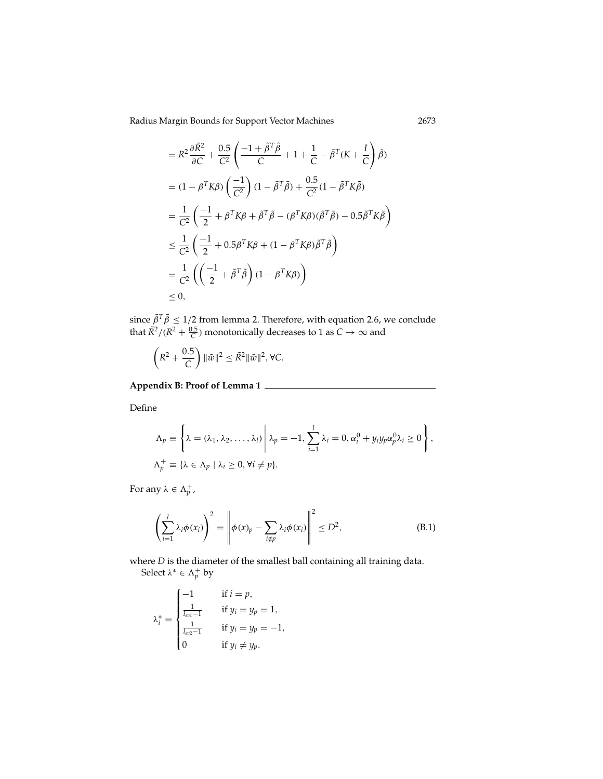$$
= R^2 \frac{\partial \tilde{R}^2}{\partial C} + \frac{0.5}{C^2} \left( \frac{-1 + \tilde{\beta}^T \tilde{\beta}}{C} + 1 + \frac{1}{C} - \tilde{\beta}^T (K + \frac{I}{C} \right) \tilde{\beta})
$$
  
\n
$$
= (1 - \beta^T K \beta) \left( \frac{-1}{C^2} \right) (1 - \tilde{\beta}^T \tilde{\beta}) + \frac{0.5}{C^2} (1 - \tilde{\beta}^T K \tilde{\beta})
$$
  
\n
$$
= \frac{1}{C^2} \left( \frac{-1}{2} + \beta^T K \beta + \tilde{\beta}^T \tilde{\beta} - (\beta^T K \beta) (\tilde{\beta}^T \tilde{\beta}) - 0.5 \tilde{\beta}^T K \tilde{\beta} \right)
$$
  
\n
$$
\leq \frac{1}{C^2} \left( \frac{-1}{2} + 0.5 \beta^T K \beta + (1 - \beta^T K \beta) \tilde{\beta}^T \tilde{\beta} \right)
$$
  
\n
$$
= \frac{1}{C^2} \left( \left( \frac{-1}{2} + \tilde{\beta}^T \tilde{\beta} \right) (1 - \beta^T K \beta) \right)
$$
  
\n
$$
\leq 0,
$$

since  $\tilde{\beta}^T \tilde{\beta} \leq 1/2$  from lemma 2. Therefore, with equation 2.6, we conclude that  $\tilde{R}^2/(R^2+\frac{0.5}{C})$  monotonically decreases to 1 as  $C\to\infty$  and

$$
\left(R^2 + \frac{0.5}{C}\right) \|\tilde{w}\|^2 \leq \tilde{R}^2 \|\tilde{w}\|^2, \forall C.
$$

**Appendix B: Proof of Lemma 1**

Define

$$
\Lambda_p \equiv \left\{ \lambda = (\lambda_1, \lambda_2, \dots, \lambda_l) \middle| \lambda_p = -1, \sum_{i=1}^l \lambda_i = 0, \alpha_i^0 + y_i y_p \alpha_p^0 \lambda_i \ge 0 \right\},
$$
  

$$
\Lambda_p^+ \equiv \left\{ \lambda \in \Lambda_p \mid \lambda_i \ge 0, \forall i \ne p \right\}.
$$

For any  $\lambda \in \Lambda_p^+$ ,

$$
\left(\sum_{i=1}^{l} \lambda_i \phi(x_i)\right)^2 = \left\|\phi(x)_p - \sum_{i \notin p} \lambda_i \phi(x_i)\right\|^2 \le D^2,
$$
\n(B.1)

where *D* is the diameter of the smallest ball containing all training data.

Select  $\lambda^* \in \Lambda_p^+$  by

$$
\lambda_i^* = \begin{cases}\n-1 & \text{if } i = p, \\
\frac{1}{l_{\text{sol}} - 1} & \text{if } y_i = y_p = 1, \\
\frac{1}{l_{\text{sol}} - 1} & \text{if } y_i = y_p = -1, \\
0 & \text{if } y_i \neq y_p.\n\end{cases}
$$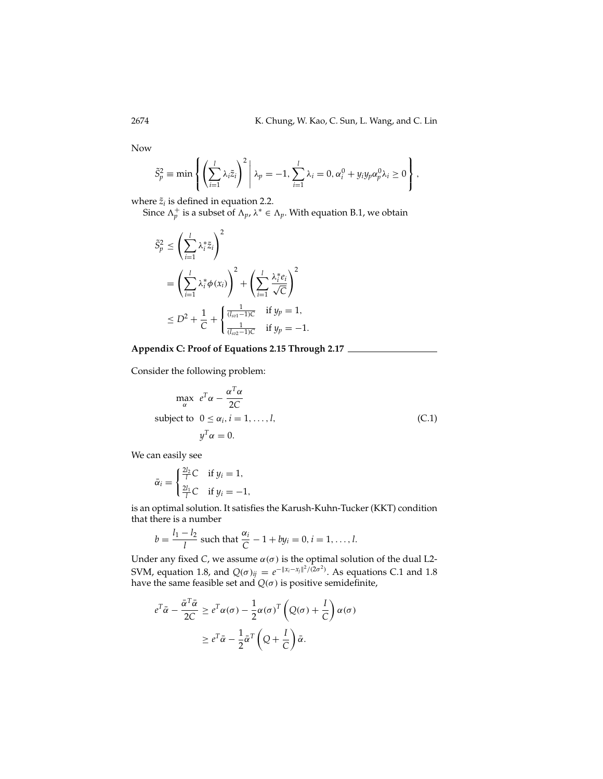Now

$$
\tilde{S}_p^2 \equiv \min \left\{ \left( \sum_{i=1}^l \lambda_i \tilde{z}_i \right)^2 \middle| \lambda_p = -1, \sum_{i=1}^l \lambda_i = 0, \alpha_i^0 + y_i y_p \alpha_p^0 \lambda_i \ge 0 \right\},\
$$

where  $\tilde{z}_i$  is defined in equation 2.2.

Since  $\Lambda_p^+$  is a subset of  $\Lambda_p$ ,  $\lambda^* \in \Lambda_p$ . With equation B.1, we obtain

$$
\tilde{S}_p^2 \le \left(\sum_{i=1}^l \lambda_i^* \tilde{z}_i\right)^2
$$
\n
$$
= \left(\sum_{i=1}^l \lambda_i^* \phi(x_i)\right)^2 + \left(\sum_{i=1}^l \frac{\lambda_i^* e_i}{\sqrt{C}}\right)^2
$$
\n
$$
\le D^2 + \frac{1}{C} + \begin{cases} \frac{1}{(l_{sv1}-1)C} & \text{if } y_p = 1, \\ \frac{1}{(l_{sv2}-1)C} & \text{if } y_p = -1. \end{cases}
$$

# **Appendix C: Proof of Equations 2.15 Through 2.17**

Consider the following problem:

$$
\max_{\alpha} e^{T} \alpha - \frac{\alpha^{T} \alpha}{2C}
$$
\nsubject to  $0 \le \alpha_i, i = 1, ..., l,$   
\n
$$
y^{T} \alpha = 0.
$$
\n(C.1)

We can easily see

$$
\bar{\alpha}_i = \begin{cases} \frac{2l_2}{l}C & \text{if } y_i = 1, \\ \frac{2l_1}{l}C & \text{if } y_i = -1, \end{cases}
$$

is an optimal solution. It satisfies the Karush-Kuhn-Tucker (KKT) condition that there is a number

$$
b = \frac{l_1 - l_2}{l}
$$
 such that  $\frac{\alpha_i}{C} - 1 + by_i = 0, i = 1, ..., l.$ 

Under any fixed *C*, we assume  $\alpha(\sigma)$  is the optimal solution of the dual L2-SVM, equation 1.8, and  $Q(\sigma)_{ij} = e^{-\|x_i - x_j\|^2/(2\sigma^2)}$ . As equations C.1 and 1.8 have the same feasible set and  $Q(\sigma)$  is positive semidefinite,

$$
e^{T}\bar{\alpha} - \frac{\bar{\alpha}^{T}\bar{\alpha}}{2C} \ge e^{T}\alpha(\sigma) - \frac{1}{2}\alpha(\sigma)^{T} \left(Q(\sigma) + \frac{I}{C}\right)\alpha(\sigma)
$$

$$
\ge e^{T}\bar{\alpha} - \frac{1}{2}\bar{\alpha}^{T} \left(Q + \frac{I}{C}\right)\bar{\alpha}.
$$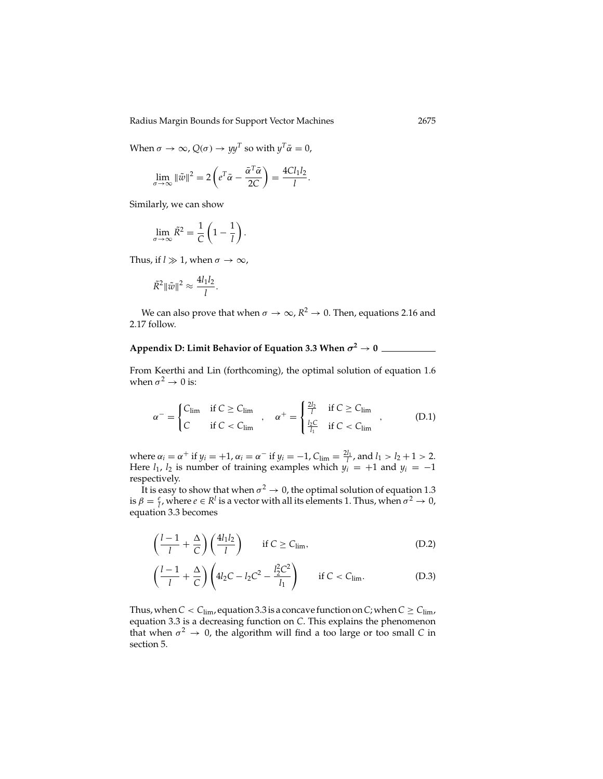When  $\sigma \to \infty$ ,  $Q(\sigma) \to y y^T$  so with  $y^T \bar{\alpha} = 0$ ,

$$
\lim_{\sigma \to \infty} \|\tilde{w}\|^2 = 2\left(e^T\bar{\alpha} - \frac{\bar{\alpha}^T\bar{\alpha}}{2C}\right) = \frac{4Cl_1l_2}{l}.
$$

Similarly, we can show

$$
\lim_{\sigma \to \infty} \tilde{R}^2 = \frac{1}{C} \left( 1 - \frac{1}{l} \right).
$$

Thus, if  $l \gg 1$ , when  $\sigma \to \infty$ ,

$$
\tilde{R}^2 \|\tilde{w}\|^2 \approx \frac{4l_1l_2}{l}.
$$

We can also prove that when  $\sigma \to \infty$ ,  $R^2 \to 0$ . Then, equations 2.16 and 2.17 follow.

# **Appendix D: Limit Behavior of Equation 3.3 When**  $\sigma^2 \rightarrow 0$

From Keerthi and Lin (forthcoming), the optimal solution of equation 1.6 when  $\sigma^2 \rightarrow 0$  is:

$$
\alpha^{-} = \begin{cases} C_{\lim} & \text{if } C \ge C_{\lim} \\ C & \text{if } C < C_{\lim} \end{cases}, \quad \alpha^{+} = \begin{cases} \frac{2l_2}{l} & \text{if } C \ge C_{\lim} \\ \frac{l_2 C}{l_1} & \text{if } C < C_{\lim} \end{cases} \tag{D.1}
$$

where  $\alpha_i = \alpha^+$  if  $y_i = +1$ ,  $\alpha_i = \alpha^-$  if  $y_i = -1$ ,  $C_{\lim} = \frac{2l_1}{l}$ , and  $l_1 > l_2 + 1 > 2$ . Here  $l_1$ ,  $l_2$  is number of training examples which  $y_i = +1$  and  $y_i = -1$ respectively.

It is easy to show that when  $\sigma^2 \to 0$ , the optimal solution of equation 1.3 is  $\beta = \frac{e}{l}$ , where  $e \in R^l$  is a vector with all its elements 1. Thus, when  $\sigma^2 \to 0$ , equation 3.3 becomes

$$
\left(\frac{l-1}{l} + \frac{\Delta}{C}\right) \left(\frac{4l_1l_2}{l}\right) \qquad \text{if } C \ge C_{\text{lim}},\tag{D.2}
$$

$$
\left(\frac{l-1}{l} + \frac{\Delta}{C}\right) \left(4l_2C - l_2C^2 - \frac{l_2^2C^2}{l_1}\right) \qquad \text{if } C < C_{\text{lim}}.\tag{D.3}
$$

Thus, when  $C < C_{\text{lim}}$ , equation 3.3 is a concave function on *C*; when  $C \geq C_{\text{lim}}$ , equation 3.3 is a decreasing function on *C*. This explains the phenomenon that when  $\sigma^2 \to 0$ , the algorithm will find a too large or too small *C* in section 5.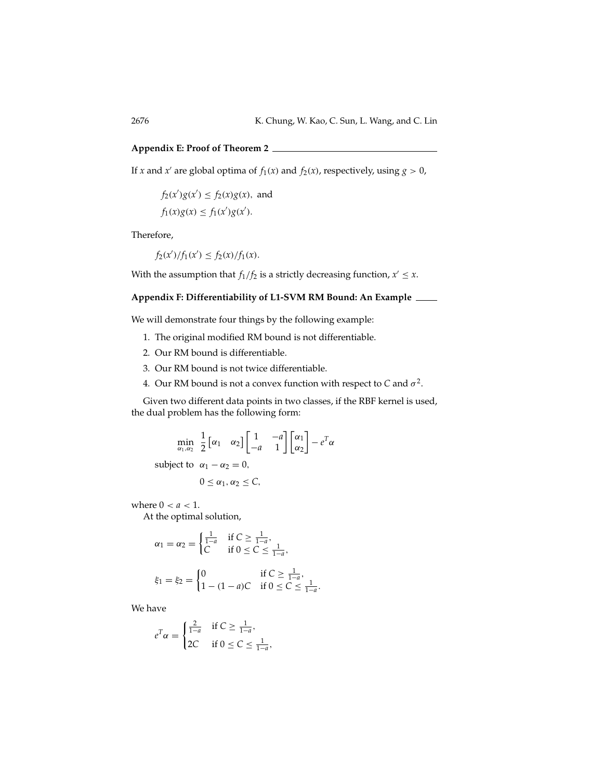## **Appendix E: Proof of Theorem 2**

If *x* and *x'* are global optima of  $f_1(x)$  and  $f_2(x)$ , respectively, using  $g > 0$ ,

 $f_2(x')g(x') \le f_2(x)g(x)$ , and  $f_1(x)g(x) \le f_1(x')g(x').$ 

Therefore,

 $f_2(x')/f_1(x') \le f_2(x)/f_1(x)$ .

With the assumption that *f*<sub>1</sub>/*f*<sub>2</sub> is a strictly decreasing function,  $x' \leq x$ .

# **Appendix F: Differentiability of L1-SVM RM Bound: An Example**

We will demonstrate four things by the following example:

- 1. The original modified RM bound is not differentiable.
- 2. Our RM bound is differentiable.
- 3. Our RM bound is not twice differentiable.
- 4. Our RM bound is not a convex function with respect to  $C$  and  $\sigma^2$ .

Given two different data points in two classes, if the RBF kernel is used, the dual problem has the following form:

$$
\min_{\alpha_1,\alpha_2} \frac{1}{2} \begin{bmatrix} \alpha_1 & \alpha_2 \end{bmatrix} \begin{bmatrix} 1 & -a \\ -a & 1 \end{bmatrix} \begin{bmatrix} \alpha_1 \\ \alpha_2 \end{bmatrix} - e^T \alpha
$$

subject to  $\alpha_1 - \alpha_2 = 0$ ,

$$
0\leq \alpha_1,\alpha_2\leq C,
$$

where  $0 < a < 1$ .

At the optimal solution,

$$
\alpha_1 = \alpha_2 = \begin{cases} \frac{1}{1-a} & \text{if } C \ge \frac{1}{1-a}, \\ C & \text{if } 0 \le C \le \frac{1}{1-a}, \end{cases}
$$

$$
\xi_1 = \xi_2 = \begin{cases} 0 & \text{if } C \ge \frac{1}{1-a}, \\ 1 - (1-a)C & \text{if } 0 \le C \le \frac{1}{1-a}. \end{cases}
$$

We have

$$
e^T \alpha = \begin{cases} \frac{2}{1-a} & \text{if } C \ge \frac{1}{1-a}, \\ 2C & \text{if } 0 \le C \le \frac{1}{1-a}, \end{cases}
$$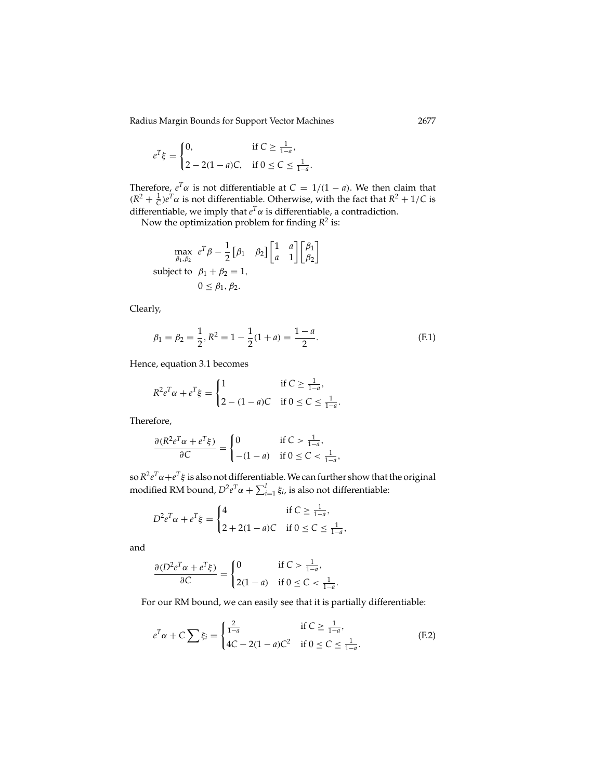$$
e^{T}\xi = \begin{cases} 0, & \text{if } C \ge \frac{1}{1-a}, \\ 2 - 2(1-a)C, & \text{if } 0 \le C \le \frac{1}{1-a}. \end{cases}
$$

Therefore,  $e^T\alpha$  is not differentiable at  $C = 1/(1 - a)$ . We then claim that  $(R^2 + \frac{1}{C})e^{T}\alpha$  is not differentiable. Otherwise, with the fact that  $R^2 + 1/C$  is differentiable, we imply that  $e^T\alpha$  is differentiable, a contradiction.

Now the optimization problem for finding *R*<sup>2</sup> is:

$$
\max_{\beta_1, \beta_2} e^T \beta - \frac{1}{2} \begin{bmatrix} \beta_1 & \beta_2 \end{bmatrix} \begin{bmatrix} 1 & a \\ a & 1 \end{bmatrix} \begin{bmatrix} \beta_1 \\ \beta_2 \end{bmatrix}
$$
  
subject to  $\beta_1 + \beta_2 = 1$ ,  
 $0 \le \beta_1, \beta_2$ .

Clearly,

$$
\beta_1 = \beta_2 = \frac{1}{2}, R^2 = 1 - \frac{1}{2}(1 + a) = \frac{1 - a}{2}.
$$
 (F.1)

Hence, equation 3.1 becomes

$$
R^{2}e^{T}\alpha + e^{T}\xi = \begin{cases} 1 & \text{if } C \ge \frac{1}{1-a}, \\ 2 - (1-a)C & \text{if } 0 \le C \le \frac{1}{1-a}. \end{cases}
$$

Therefore,

$$
\frac{\partial (R^2 e^T \alpha + e^T \xi)}{\partial C} = \begin{cases} 0 & \text{if } C > \frac{1}{1-a}, \\ -(1-a) & \text{if } 0 \le C < \frac{1}{1-a}, \end{cases}
$$

so*R*<sup>2</sup>*eT*α+*eT*ξ is also not differentiable. We can further show that the original modified RM bound,  $D^2e^T\alpha + \sum_{i=1}^l \xi_i$ , is also not differentiable:

$$
D^{2}e^{T}\alpha + e^{T}\xi = \begin{cases} 4 & \text{if } C \geq \frac{1}{1-a}, \\ 2 + 2(1-a)C & \text{if } 0 \leq C \leq \frac{1}{1-a}, \end{cases}
$$

and

$$
\frac{\partial (D^2 e^T \alpha + e^T \xi)}{\partial C} = \begin{cases} 0 & \text{if } C > \frac{1}{1 - a}, \\ 2(1 - a) & \text{if } 0 \le C < \frac{1}{1 - a}. \end{cases}
$$

For our RM bound, we can easily see that it is partially differentiable:

$$
e^{T}\alpha + C\sum \xi_{i} = \begin{cases} \frac{2}{1-a} & \text{if } C \ge \frac{1}{1-a}, \\ 4C - 2(1-a)C^{2} & \text{if } 0 \le C \le \frac{1}{1-a}. \end{cases}
$$
(F.2)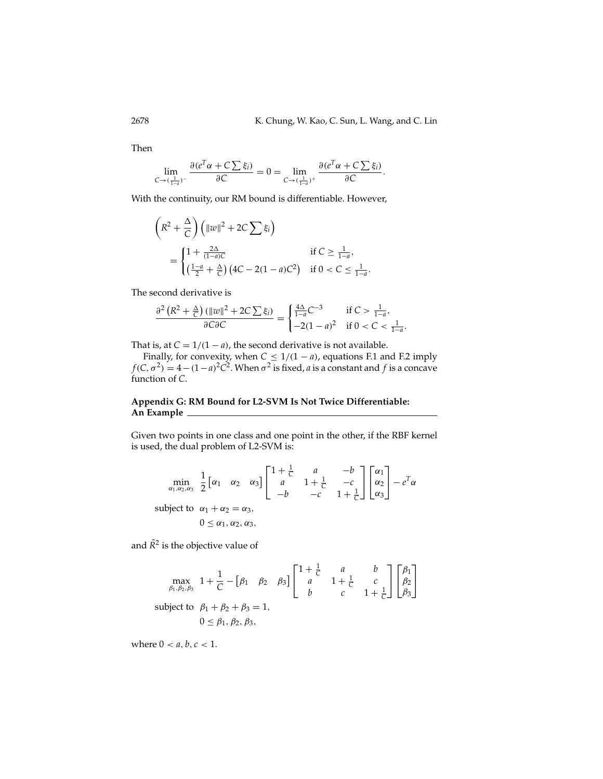Then

$$
\lim_{C \to (\frac{1}{1-a})^{-}} \frac{\partial (e^T \alpha + C \sum \xi_i)}{\partial C} = 0 = \lim_{C \to (\frac{1}{1-a})^{+}} \frac{\partial (e^T \alpha + C \sum \xi_i)}{\partial C}.
$$

With the continuity, our RM bound is differentiable. However,

$$
\left(R^2 + \frac{\Delta}{C}\right) \left(\|w\|^2 + 2C\sum \xi_i\right)
$$
  
= 
$$
\begin{cases} 1 + \frac{2\Delta}{(1-a)C} & \text{if } C \ge \frac{1}{1-a}, \\ \left(\frac{1-a}{2} + \frac{\Delta}{C}\right) \left(4C - 2(1-a)C^2\right) & \text{if } 0 < C \le \frac{1}{1-a}. \end{cases}
$$

The second derivative is

$$
\frac{\partial^2 \left(R^2 + \frac{\Delta}{C}\right) (\Vert w \Vert^2 + 2C \sum \xi_i)}{\partial C \partial C} = \begin{cases} \frac{4\Delta}{1-a} C^{-3} & \text{if } C > \frac{1}{1-a}, \\ -2(1-a)^2 & \text{if } 0 < C < \frac{1}{1-a}. \end{cases}
$$

That is, at  $C = 1/(1 - a)$ , the second derivative is not available.

Finally, for convexity, when  $C \leq 1/(1 - a)$ , equations F.1 and F.2 imply  $f(C, \sigma^2) = 4 - (1 - a)^2 C^2$ . When  $\sigma^2$  is fixed, *a* is a constant and *f* is a concave function of *C*.

# **Appendix G: RM Bound for L2-SVM Is Not Twice Differentiable: An Example**

Given two points in one class and one point in the other, if the RBF kernel is used, the dual problem of L2-SVM is:

$$
\min_{\alpha_1, \alpha_2, \alpha_3} \frac{1}{2} \begin{bmatrix} \alpha_1 & \alpha_2 & \alpha_3 \end{bmatrix} \begin{bmatrix} 1 + \frac{1}{C} & a & -b \\ a & 1 + \frac{1}{C} & -c \\ -b & -c & 1 + \frac{1}{C} \end{bmatrix} \begin{bmatrix} \alpha_1 \\ \alpha_2 \\ \alpha_3 \end{bmatrix} - e^T \alpha
$$
\nsubject to  $\alpha_1 + \alpha_2 = \alpha_3$ ,  
\n $0 \le \alpha_1, \alpha_2, \alpha_3$ ,

and  $\tilde{R}^2$  is the objective value of

$$
\max_{\beta_1, \beta_2, \beta_3} 1 + \frac{1}{C} - \begin{bmatrix} \beta_1 & \beta_2 & \beta_3 \end{bmatrix} \begin{bmatrix} 1 + \frac{1}{C} & a & b \\ a & 1 + \frac{1}{C} & c \\ b & c & 1 + \frac{1}{C} \end{bmatrix} \begin{bmatrix} \beta_1 \\ \beta_2 \\ \beta_3 \end{bmatrix}
$$
\nsubject to  $\beta_1 + \beta_2 + \beta_3 = 1$ ,  
\n $0 \le \beta_1, \beta_2, \beta_3$ ,

where  $0 < a, b, c < 1$ .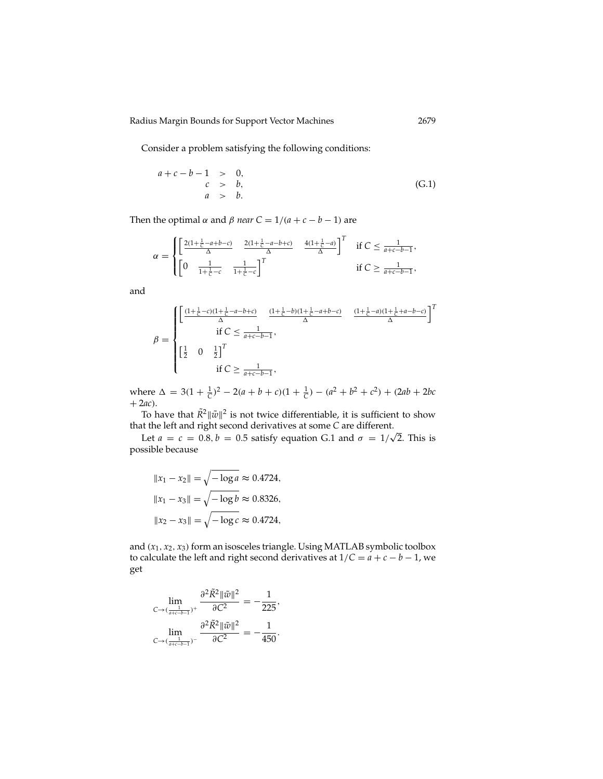Consider a problem satisfying the following conditions:

$$
a + c - b - 1 > 0,\nc > b,\na > b.
$$
\n(G.1)

Then the optimal  $\alpha$  and  $\beta$  *near*  $C = 1/(a + c - b - 1)$  are

$$
\alpha = \begin{cases} \left[ \frac{2(1+\frac{1}{C}-a+b-c)}{\Delta} & \frac{2(1+\frac{1}{C}-a-b+c)}{\Delta} \\ \left[ 0 & \frac{1}{1+\frac{1}{C}-c} & \frac{1}{1+\frac{1}{C}-c} \right]^T \end{cases} \quad \text{if } C \le \frac{1}{a+c-b-1}, \\ \text{if } C \ge \frac{1}{a+c-b-1}, \end{cases}
$$

and

$$
\beta = \begin{cases} \left[ \frac{(1+\frac{1}{C}-c)(1+\frac{1}{C}-a-b+c)}{\Delta} - \frac{(1+\frac{1}{C}-b)(1+\frac{1}{C}-a+b-c)}{\Delta} - \frac{(1+\frac{1}{C}-a)(1+\frac{1}{C}+a-b-c)}{\Delta} \right]^T \\ \quad \text{if } C \leq \frac{1}{a+c-b-1}, \\ \left[ \frac{1}{2} \quad 0 \quad \frac{1}{2} \right]^T \\ \quad \text{if } C \geq \frac{1}{a+c-b-1}, \end{cases}
$$

where  $\Delta = 3(1 + \frac{1}{C})^2 - 2(a + b + c)(1 + \frac{1}{C}) - (a^2 + b^2 + c^2) + (2ab + 2bc)$  $+ 2ac$ ).

To have that  $\tilde{R}^2 ||\tilde{w}||^2$  is not twice differentiable, it is sufficient to show that the left and right second derivatives at some *C* are different. √

Let  $a = c = 0.8, b = 0.5$  satisfy equation G.1 and  $\sigma = 1/\sqrt{2}$ . This is possible because

$$
||x_1 - x_2|| = \sqrt{-\log a} \approx 0.4724,
$$
  

$$
||x_1 - x_3|| = \sqrt{-\log b} \approx 0.8326,
$$
  

$$
||x_2 - x_3|| = \sqrt{-\log c} \approx 0.4724,
$$

and (*x*1, *x*2, *x*3) form an isosceles triangle. Using MATLAB symbolic toolbox to calculate the left and right second derivatives at  $1/C = a + c - b - 1$ , we get

$$
\lim_{C \to (\frac{1}{a+c-b-1})^+} \frac{\partial^2 \tilde{R}^2 \|\tilde{w}\|^2}{\partial C^2} = -\frac{1}{225},
$$
  

$$
\lim_{C \to (\frac{1}{a+c-b-1})^-} \frac{\partial^2 \tilde{R}^2 \|\tilde{w}\|^2}{\partial C^2} = -\frac{1}{450}.
$$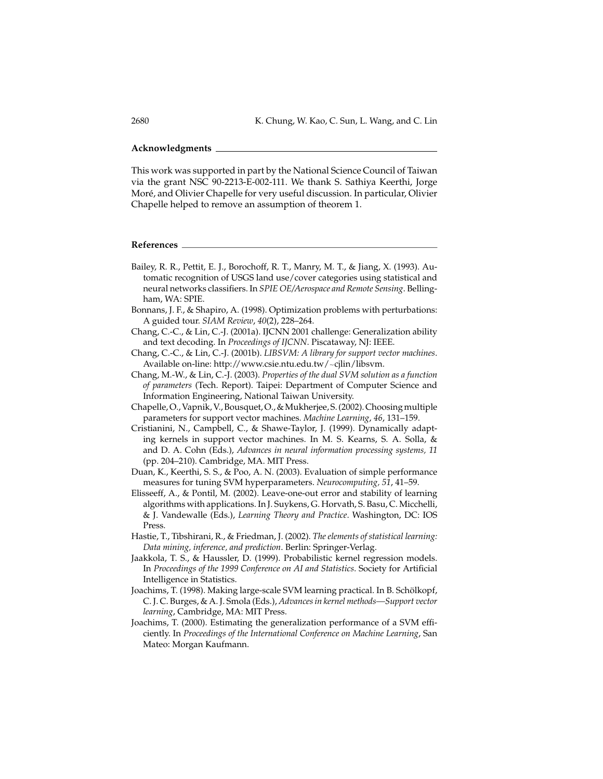#### **Acknowledgments**

This work was supported in part by the National Science Council of Taiwan via the grant NSC 90-2213-E-002-111. We thank S. Sathiya Keerthi, Jorge Moré, and Olivier Chapelle for very useful discussion. In particular, Olivier Chapelle helped to remove an assumption of theorem 1.

### **References**

- Bailey, R. R., Pettit, E. J., Borochoff, R. T., Manry, M. T., & Jiang, X. (1993). Automatic recognition of USGS land use/cover categories using statistical and neural networks classifiers. In *SPIE OE/Aerospace and Remote Sensing*. Bellingham, WA: SPIE.
- Bonnans, J. F., & Shapiro, A. (1998). Optimization problems with perturbations: A guided tour. *SIAM Review*, *40*(2), 228–264.
- Chang, C.-C., & Lin, C.-J. (2001a). IJCNN 2001 challenge: Generalization ability and text decoding. In *Proceedings of IJCNN*. Piscataway, NJ: IEEE.
- Chang, C.-C., & Lin, C.-J. (2001b). *LIBSVM: A library for support vector machines*. Available on-line: http://www.csie.ntu.edu.tw/~cjlin/libsvm.
- Chang, M.-W., & Lin, C.-J. (2003). *Properties of the dual SVM solution as a function of parameters* (Tech. Report). Taipei: Department of Computer Science and Information Engineering, National Taiwan University.
- Chapelle, O., Vapnik, V., Bousquet, O., & Mukherjee, S. (2002). Choosing multiple parameters for support vector machines. *Machine Learning*, *46*, 131–159.
- Cristianini, N., Campbell, C., & Shawe-Taylor, J. (1999). Dynamically adapting kernels in support vector machines. In M. S. Kearns, S. A. Solla, & and D. A. Cohn (Eds.), *Advances in neural information processing systems, 11* (pp. 204–210). Cambridge, MA. MIT Press.
- Duan, K., Keerthi, S. S., & Poo, A. N. (2003). Evaluation of simple performance measures for tuning SVM hyperparameters. *Neurocomputing, 51*, 41–59.
- Elisseeff, A., & Pontil, M. (2002). Leave-one-out error and stability of learning algorithms with applications. In J. Suykens, G. Horvath, S. Basu, C. Micchelli, & J. Vandewalle (Eds.), *Learning Theory and Practice*. Washington, DC: IOS Press.
- Hastie, T., Tibshirani, R., & Friedman, J. (2002). *The elements of statistical learning: Data mining, inference, and prediction*. Berlin: Springer-Verlag.
- Jaakkola, T. S., & Haussler, D. (1999). Probabilistic kernel regression models. In *Proceedings of the 1999 Conference on AI and Statistics*. Society for Artificial Intelligence in Statistics.
- Joachims, T. (1998). Making large-scale SVM learning practical. In B. Schölkopf, C. J. C. Burges, & A. J. Smola (Eds.), *Advances in kernel methods—Support vector learning*, Cambridge, MA: MIT Press.
- Joachims, T. (2000). Estimating the generalization performance of a SVM efficiently. In *Proceedings of the International Conference on Machine Learning*, San Mateo: Morgan Kaufmann.